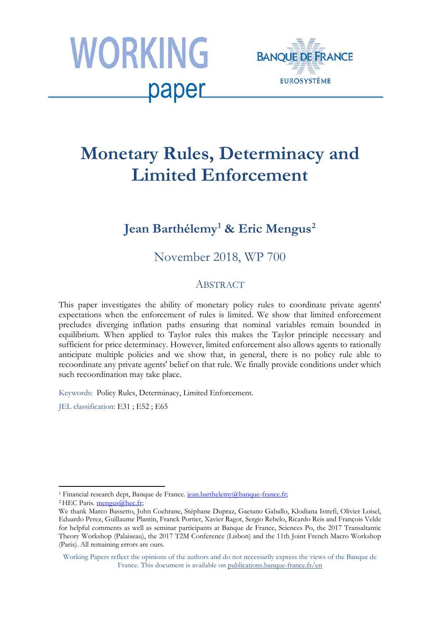



# **Monetary Rules, Determinacy and Limited Enforcement**

# **Jean Barthélemy[1](#page-0-0) & Eric Mengus[2](#page-0-1)**

# November 2018, WP 700

### **ABSTRACT**

This paper investigates the ability of monetary policy rules to coordinate private agents' expectations when the enforcement of rules is limited. We show that limited enforcement precludes diverging inflation paths ensuring that nominal variables remain bounded in equilibrium. When applied to Taylor rules this makes the Taylor principle necessary and sufficient for price determinacy. However, limited enforcement also allows agents to rationally anticipate multiple policies and we show that, in general, there is no policy rule able to recoordinate any private agents' belief on that rule. We finally provide conditions under which such recoordination may take place.

Keywords: Policy Rules, Determinacy, Limited Enforcement.

JEL classification: E31 ; E52 ; E65

<span id="page-0-0"></span> $\overline{a}$ <sup>1</sup> Financial research dept, Banque de France. [jean.barthelemy@banque-france.fr;](mailto:jean.barthelemy@banque-france.fr) <sup>2</sup> HEC Paris[. mengus@hec.fr;](mailto:mengus@hec.fr)

We thank Marco Bassetto, John Cochrane, Stéphane Dupraz, Gaetano Gaballo, Klodiana Istrefi, Olivier Loisel, Eduardo Perez, Guillaume Plantin, Franck Portier, Xavier Ragot, Sergio Rebelo, Ricardo Reis and François Velde for helpful comments as well as seminar participants at Banque de France, Sciences Po, the 2017 Transaltantic Theory Workshop (Palaiseau), the 2017 T2M Conference (Lisbon) and the 11th Joint French Macro Workshop (Paris). All remaining errors are ours.

<span id="page-0-1"></span>Working Papers reflect the opinions of the authors and do not necessarily express the views of the Banque de France. This document is available on [publications.banque-france.fr/en](https://publications.banque-france.fr/en)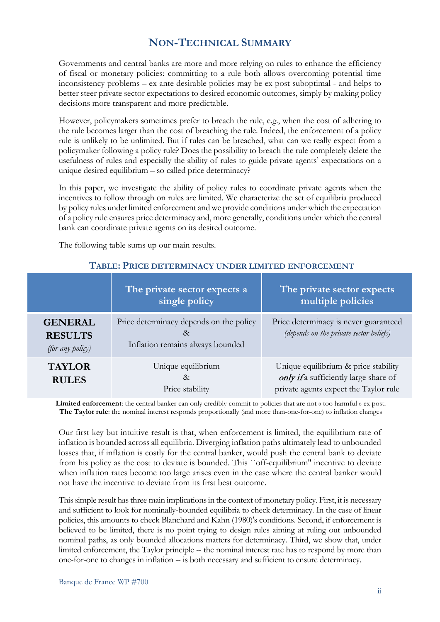### **NON-TECHNICAL SUMMARY**

Governments and central banks are more and more relying on rules to enhance the efficiency of fiscal or monetary policies: committing to a rule both allows overcoming potential time inconsistency problems – ex ante desirable policies may be ex post suboptimal - and helps to better steer private sector expectations to desired economic outcomes, simply by making policy decisions more transparent and more predictable.

However, policymakers sometimes prefer to breach the rule, e.g., when the cost of adhering to the rule becomes larger than the cost of breaching the rule. Indeed, the enforcement of a policy rule is unlikely to be unlimited. But if rules can be breached, what can we really expect from a policymaker following a policy rule? Does the possibility to breach the rule completely delete the usefulness of rules and especially the ability of rules to guide private agents' expectations on a unique desired equilibrium – so called price determinacy?

In this paper, we investigate the ability of policy rules to coordinate private agents when the incentives to follow through on rules are limited. We characterize the set of equilibria produced by policy rules under limited enforcement and we provide conditions under which the expectation of a policy rule ensures price determinacy and, more generally, conditions under which the central bank can coordinate private agents on its desired outcome.

The following table sums up our main results.

#### **The private sector expects a single policy The private sector expects multiple policies GENERAL RESULTS** *(for any policy)* Price determinacy depends on the policy & Inflation remains always bounded Price determinacy is never guaranteed *(depends on the private sector beliefs)* **TAYLOR RULES** Unique equilibrium  $\lambda$ Price stability Unique equilibrium & price stability only if a sufficiently large share of private agents expect the Taylor rule

### **TABLE: PRICE DETERMINACY UNDER LIMITED ENFORCEMENT**

**Limited enforcement**: the central banker can only credibly commit to policies that are not « too harmful » ex post. **The Taylor rule**: the nominal interest responds proportionally (and more than-one-for-one) to inflation changes

Our first key but intuitive result is that, when enforcement is limited, the equilibrium rate of inflation is bounded across all equilibria. Diverging inflation paths ultimately lead to unbounded losses that, if inflation is costly for the central banker, would push the central bank to deviate from his policy as the cost to deviate is bounded. This ``off-equilibrium'' incentive to deviate when inflation rates become too large arises even in the case where the central banker would not have the incentive to deviate from its first best outcome.

This simple result has three main implications in the context of monetary policy. First, it is necessary and sufficient to look for nominally-bounded equilibria to check determinacy. In the case of linear policies, this amounts to check Blanchard and Kahn (1980)'s conditions. Second, if enforcement is believed to be limited, there is no point trying to design rules aiming at ruling out unbounded nominal paths, as only bounded allocations matters for determinacy. Third, we show that, under limited enforcement, the Taylor principle -- the nominal interest rate has to respond by more than one-for-one to changes in inflation -- is both necessary and sufficient to ensure determinacy.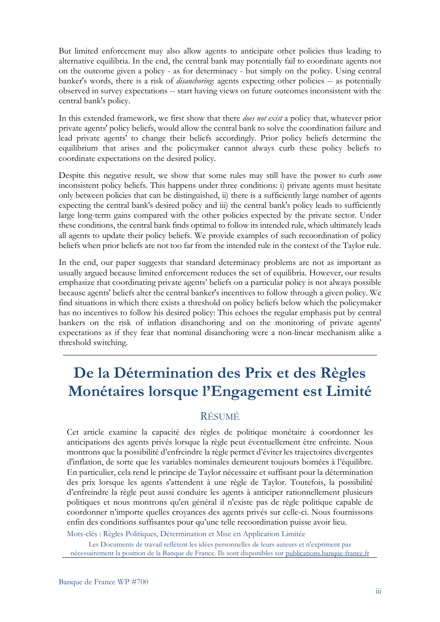But limited enforcement may also allow agents to anticipate other policies thus leading to alternative equilibria. In the end, the central bank may potentially fail to coordinate agents not on the outcome given a policy - as for determinacy - but simply on the policy. Using central banker's words, there is a risk of *disanchoring*: agents expecting other policies -- as potentially observed in survey expectations -- start having views on future outcomes inconsistent with the central bank's policy.

In this extended framework, we first show that there *does not exist* a policy that, whatever prior private agents' policy beliefs, would allow the central bank to solve the coordination failure and lead private agents' to change their beliefs accordingly. Prior policy beliefs determine the equilibrium that arises and the policymaker cannot always curb these policy beliefs to coordinate expectations on the desired policy.

Despite this negative result, we show that some rules may still have the power to curb *some* inconsistent policy beliefs. This happens under three conditions: i) private agents must hesitate only between policies that can be distinguished, ii) there is a sufficiently large number of agents expecting the central bank's desired policy and iii) the central bank's policy leads to sufficiently large long-term gains compared with the other policies expected by the private sector. Under these conditions, the central bank finds optimal to follow its intended rule, which ultimately leads all agents to update their policy beliefs. We provide examples of such recoordination of policy beliefs when prior beliefs are not too far from the intended rule in the context of the Taylor rule.

In the end, our paper suggests that standard determinacy problems are not as important as usually argued because limited enforcement reduces the set of equilibria. However, our results emphasize that coordinating private agents' beliefs on a particular policy is not always possible because agents' beliefs alter the central banker's incentives to follow through a given policy. We find situations in which there exists a threshold on policy beliefs below which the policymaker has no incentives to follow his desired policy: This echoes the regular emphasis put by central bankers on the risk of inflation disanchoring and on the monitoring of private agents' expectations as if they fear that nominal disanchoring were a non-linear mechanism alike a threshold switching.

# **De la Détermination des Prix et des Règles Monétaires lorsque l'Engagement est Limité**

### RÉSUMÉ

Cet article examine la capacité des règles de politique monétaire à coordonner les anticipations des agents privés lorsque la règle peut éventuellement être enfreinte. Nous montrons que la possibilité d'enfreindre la règle permet d'éviter les trajectoires divergentes d'inflation, de sorte que les variables nominales demeurent toujours bornées à l'équilibre. En particulier, cela rend le principe de Taylor nécessaire et suffisant pour la détermination des prix lorsque les agents s'attendent à une règle de Taylor. Toutefois, la possibilité d'enfreindre la règle peut aussi conduire les agents à anticiper rationnellement plusieurs politiques et nous montrons qu'en général il n'existe pas de règle politique capable de coordonner n'importe quelles croyances des agents privés sur celle-ci. Nous fournissons enfin des conditions suffisantes pour qu'une telle recoordination puisse avoir lieu.

Mots-clés : Règles Politiques, Détermination et Mise en Application Limitée

Les Documents de travail reflètent les idées personnelles de leurs auteurs et n'expriment pas nécessairement la position de la Banque de France. Ils sont disponibles sur [publications.banque-france.fr](https://publications.banque-france.fr/)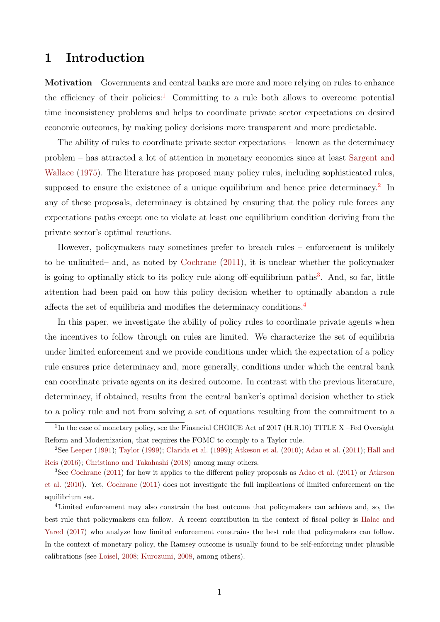### 1 Introduction

Motivation Governments and central banks are more and more relying on rules to enhance the efficiency of their policies:<sup>[1](#page-3-0)</sup> Committing to a rule both allows to overcome potential time inconsistency problems and helps to coordinate private sector expectations on desired economic outcomes, by making policy decisions more transparent and more predictable.

The ability of rules to coordinate private sector expectations – known as the determinacy problem – has attracted a lot of attention in monetary economics since at least [Sargent and](#page-32-0) [Wallace](#page-32-0) [\(1975\)](#page-32-0). The literature has proposed many policy rules, including sophisticated rules, supposed to ensure the existence of a unique equilibrium and hence price determinacy.<sup>[2](#page-3-1)</sup> In any of these proposals, determinacy is obtained by ensuring that the policy rule forces any expectations paths except one to violate at least one equilibrium condition deriving from the private sector's optimal reactions.

However, policymakers may sometimes prefer to breach rules – enforcement is unlikely to be unlimited– and, as noted by [Cochrane](#page-31-0) [\(2011\)](#page-31-0), it is unclear whether the policymaker is going to optimally stick to its policy rule along off-equilibrium paths<sup>[3](#page-3-2)</sup>. And, so far, little attention had been paid on how this policy decision whether to optimally abandon a rule affects the set of equilibria and modifies the determinacy conditions.[4](#page-3-3)

In this paper, we investigate the ability of policy rules to coordinate private agents when the incentives to follow through on rules are limited. We characterize the set of equilibria under limited enforcement and we provide conditions under which the expectation of a policy rule ensures price determinacy and, more generally, conditions under which the central bank can coordinate private agents on its desired outcome. In contrast with the previous literature, determinacy, if obtained, results from the central banker's optimal decision whether to stick to a policy rule and not from solving a set of equations resulting from the commitment to a

<span id="page-3-0"></span><sup>&</sup>lt;sup>1</sup>In the case of monetary policy, see the Financial CHOICE Act of 2017 (H.R.10) TITLE X –Fed Oversight Reform and Modernization, that requires the FOMC to comply to a Taylor rule.

<span id="page-3-1"></span><sup>2</sup>See [Leeper](#page-32-1) [\(1991\)](#page-32-1); [Taylor](#page-33-0) [\(1999\)](#page-33-0); [Clarida et al.](#page-31-1) [\(1999\)](#page-31-1); [Atkeson et al.](#page-30-0) [\(2010\)](#page-30-0); [Adao et al.](#page-30-1) [\(2011\)](#page-30-1); [Hall and](#page-31-2) [Reis](#page-31-2) [\(2016\)](#page-31-2); [Christiano and Takahashi](#page-31-3) [\(2018\)](#page-31-3) among many others.

<span id="page-3-2"></span><sup>&</sup>lt;sup>3</sup>See [Cochrane](#page-31-0) [\(2011\)](#page-30-1) for how it applies to the different policy proposals as [Adao et al.](#page-30-1) (2011) or [Atkeson](#page-30-0) [et al.](#page-30-0) [\(2010\)](#page-30-0). Yet, [Cochrane](#page-31-0) [\(2011\)](#page-31-0) does not investigate the full implications of limited enforcement on the equilibrium set.

<span id="page-3-3"></span><sup>4</sup>Limited enforcement may also constrain the best outcome that policymakers can achieve and, so, the best rule that policymakers can follow. A recent contribution in the context of fiscal policy is [Halac and](#page-31-4) [Yared](#page-31-4) [\(2017\)](#page-31-4) who analyze how limited enforcement constrains the best rule that policymakers can follow. In the context of monetary policy, the Ramsey outcome is usually found to be self-enforcing under plausible calibrations (see [Loisel,](#page-32-2) [2008;](#page-32-2) [Kurozumi,](#page-32-3) [2008,](#page-32-3) among others).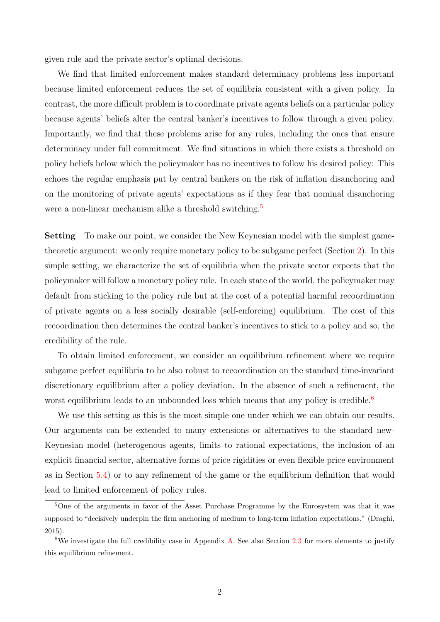given rule and the private sector's optimal decisions.

We find that limited enforcement makes standard determinacy problems less important because limited enforcement reduces the set of equilibria consistent with a given policy. In contrast, the more difficult problem is to coordinate private agents beliefs on a particular policy because agents' beliefs alter the central banker's incentives to follow through a given policy. Importantly, we find that these problems arise for any rules, including the ones that ensure determinacy under full commitment. We find situations in which there exists a threshold on policy beliefs below which the policymaker has no incentives to follow his desired policy: This echoes the regular emphasis put by central bankers on the risk of inflation disanchoring and on the monitoring of private agents' expectations as if they fear that nominal disanchoring were a non-linear mechanism alike a threshold switching.<sup>[5](#page-4-0)</sup>

Setting To make our point, we consider the New Keynesian model with the simplest gametheoretic argument: we only require monetary policy to be subgame perfect (Section [2\)](#page-8-0). In this simple setting, we characterize the set of equilibria when the private sector expects that the policymaker will follow a monetary policy rule. In each state of the world, the policymaker may default from sticking to the policy rule but at the cost of a potential harmful recoordination of private agents on a less socially desirable (self-enforcing) equilibrium. The cost of this recoordination then determines the central banker's incentives to stick to a policy and so, the credibility of the rule.

To obtain limited enforcement, we consider an equilibrium refinement where we require subgame perfect equilibria to be also robust to recoordination on the standard time-invariant discretionary equilibrium after a policy deviation. In the absence of such a refinement, the worst equilibrium leads to an unbounded loss which means that any policy is credible.<sup>[6](#page-4-1)</sup>

We use this setting as this is the most simple one under which we can obtain our results. Our arguments can be extended to many extensions or alternatives to the standard new-Keynesian model (heterogenous agents, limits to rational expectations, the inclusion of an explicit financial sector, alternative forms of price rigidities or even flexible price environment as in Section [5.4\)](#page-27-0) or to any refinement of the game or the equilibrium definition that would lead to limited enforcement of policy rules.

<span id="page-4-0"></span><sup>5</sup>One of the arguments in favor of the Asset Purchase Programme by the Eurosystem was that it was supposed to "decisively underpin the firm anchoring of medium to long-term inflation expectations." (Draghi, 2015).

<span id="page-4-1"></span><sup>&</sup>lt;sup>6</sup>We investigate the full credibility case in Appendix [A.](#page-34-0) See also Section [2.3](#page-11-0) for more elements to justify this equilibrium refinement.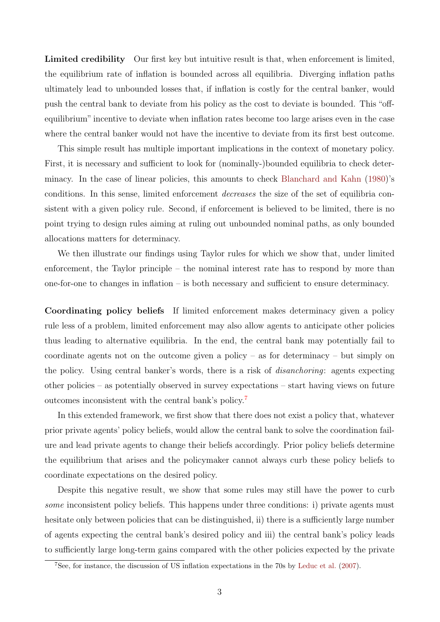Limited credibility Our first key but intuitive result is that, when enforcement is limited, the equilibrium rate of inflation is bounded across all equilibria. Diverging inflation paths ultimately lead to unbounded losses that, if inflation is costly for the central banker, would push the central bank to deviate from his policy as the cost to deviate is bounded. This "offequilibrium" incentive to deviate when inflation rates become too large arises even in the case where the central banker would not have the incentive to deviate from its first best outcome.

This simple result has multiple important implications in the context of monetary policy. First, it is necessary and sufficient to look for (nominally-)bounded equilibria to check determinacy. In the case of linear policies, this amounts to check [Blanchard and Kahn](#page-30-2) [\(1980\)](#page-30-2)'s conditions. In this sense, limited enforcement decreases the size of the set of equilibria consistent with a given policy rule. Second, if enforcement is believed to be limited, there is no point trying to design rules aiming at ruling out unbounded nominal paths, as only bounded allocations matters for determinacy.

We then illustrate our findings using Taylor rules for which we show that, under limited enforcement, the Taylor principle – the nominal interest rate has to respond by more than one-for-one to changes in inflation – is both necessary and sufficient to ensure determinacy.

Coordinating policy beliefs If limited enforcement makes determinacy given a policy rule less of a problem, limited enforcement may also allow agents to anticipate other policies thus leading to alternative equilibria. In the end, the central bank may potentially fail to coordinate agents not on the outcome given a policy – as for determinacy – but simply on the policy. Using central banker's words, there is a risk of disanchoring: agents expecting other policies – as potentially observed in survey expectations – start having views on future outcomes inconsistent with the central bank's policy.[7](#page-5-0)

In this extended framework, we first show that there does not exist a policy that, whatever prior private agents' policy beliefs, would allow the central bank to solve the coordination failure and lead private agents to change their beliefs accordingly. Prior policy beliefs determine the equilibrium that arises and the policymaker cannot always curb these policy beliefs to coordinate expectations on the desired policy.

Despite this negative result, we show that some rules may still have the power to curb some inconsistent policy beliefs. This happens under three conditions: i) private agents must hesitate only between policies that can be distinguished, ii) there is a sufficiently large number of agents expecting the central bank's desired policy and iii) the central bank's policy leads to sufficiently large long-term gains compared with the other policies expected by the private

<span id="page-5-0"></span><sup>7</sup>See, for instance, the discussion of US inflation expectations in the 70s by [Leduc et al.](#page-32-4) [\(2007\)](#page-32-4).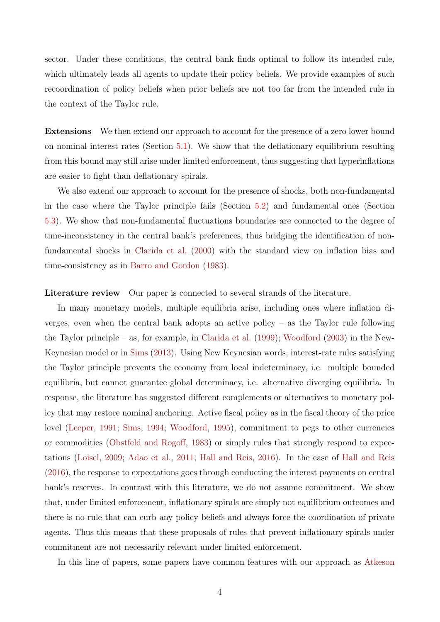sector. Under these conditions, the central bank finds optimal to follow its intended rule, which ultimately leads all agents to update their policy beliefs. We provide examples of such recoordination of policy beliefs when prior beliefs are not too far from the intended rule in the context of the Taylor rule.

Extensions We then extend our approach to account for the presence of a zero lower bound on nominal interest rates (Section [5.1\)](#page-21-0). We show that the deflationary equilibrium resulting from this bound may still arise under limited enforcement, thus suggesting that hyperinflations are easier to fight than deflationary spirals.

We also extend our approach to account for the presence of shocks, both non-fundamental in the case where the Taylor principle fails (Section [5.2\)](#page-23-0) and fundamental ones (Section [5.3\)](#page-24-0). We show that non-fundamental fluctuations boundaries are connected to the degree of time-inconsistency in the central bank's preferences, thus bridging the identification of nonfundamental shocks in [Clarida et al.](#page-31-5) [\(2000\)](#page-31-5) with the standard view on inflation bias and time-consistency as in [Barro and Gordon](#page-30-3) [\(1983\)](#page-30-3).

Literature review Our paper is connected to several strands of the literature.

In many monetary models, multiple equilibria arise, including ones where inflation diverges, even when the central bank adopts an active policy – as the Taylor rule following the Taylor principle – as, for example, in [Clarida et al.](#page-31-1) [\(1999\)](#page-31-1); [Woodford](#page-33-1) [\(2003\)](#page-33-1) in the New-Keynesian model or in [Sims](#page-32-5) [\(2013\)](#page-32-5). Using New Keynesian words, interest-rate rules satisfying the Taylor principle prevents the economy from local indeterminacy, i.e. multiple bounded equilibria, but cannot guarantee global determinacy, i.e. alternative diverging equilibria. In response, the literature has suggested different complements or alternatives to monetary policy that may restore nominal anchoring. Active fiscal policy as in the fiscal theory of the price level [\(Leeper,](#page-32-1) [1991;](#page-32-1) [Sims,](#page-32-6) [1994;](#page-32-6) [Woodford,](#page-33-2) [1995\)](#page-33-2), commitment to pegs to other currencies or commodities [\(Obstfeld and Rogoff,](#page-32-7) [1983\)](#page-32-7) or simply rules that strongly respond to expectations [\(Loisel,](#page-32-8) [2009;](#page-32-8) [Adao et al.,](#page-30-1) [2011;](#page-30-1) [Hall and Reis,](#page-31-2) [2016\)](#page-31-2). In the case of [Hall and Reis](#page-31-2) [\(2016\)](#page-31-2), the response to expectations goes through conducting the interest payments on central bank's reserves. In contrast with this literature, we do not assume commitment. We show that, under limited enforcement, inflationary spirals are simply not equilibrium outcomes and there is no rule that can curb any policy beliefs and always force the coordination of private agents. Thus this means that these proposals of rules that prevent inflationary spirals under commitment are not necessarily relevant under limited enforcement.

In this line of papers, some papers have common features with our approach as [Atkeson](#page-30-0)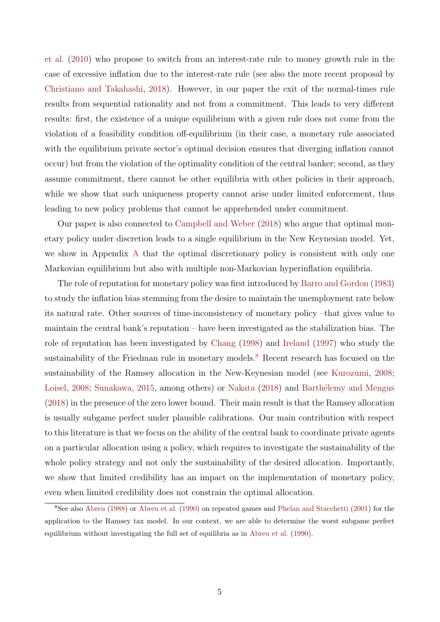[et al.](#page-30-0) [\(2010\)](#page-30-0) who propose to switch from an interest-rate rule to money growth rule in the case of excessive inflation due to the interest-rate rule (see also the more recent proposal by [Christiano and Takahashi,](#page-31-3) [2018\)](#page-31-3). However, in our paper the exit of the normal-times rule results from sequential rationality and not from a commitment. This leads to very different results: first, the existence of a unique equilibrium with a given rule does not come from the violation of a feasibility condition off-equilibrium (in their case, a monetary rule associated with the equilibrium private sector's optimal decision ensures that diverging inflation cannot occur) but from the violation of the optimality condition of the central banker; second, as they assume commitment, there cannot be other equilibria with other policies in their approach, while we show that such uniqueness property cannot arise under limited enforcement, thus leading to new policy problems that cannot be apprehended under commitment.

Our paper is also connected to [Campbell and Weber](#page-30-4) [\(2018\)](#page-30-4) who argue that optimal monetary policy under discretion leads to a single equilibrium in the New Keynesian model. Yet, we show in [A](#page-34-0)ppendix  $\Lambda$  that the optimal discretionary policy is consistent with only one Markovian equilibrium but also with multiple non-Markovian hyperinflation equilibria.

The role of reputation for monetary policy was first introduced by [Barro and Gordon](#page-30-3) [\(1983\)](#page-30-3) to study the inflation bias stemming from the desire to maintain the unemployment rate below its natural rate. Other sources of time-inconsistency of monetary policy –that gives value to maintain the central bank's reputation – have been investigated as the stabilization bias. The role of reputation has been investigated by [Chang](#page-30-5) [\(1998\)](#page-30-5) and [Ireland](#page-31-6) [\(1997\)](#page-31-6) who study the sustainability of the Friedman rule in monetary models.<sup>[8](#page-7-0)</sup> Recent research has focused on the sustainability of the Ramsey allocation in the New-Keynesian model (see [Kurozumi,](#page-32-3) [2008;](#page-32-3) [Loisel,](#page-32-2) [2008;](#page-32-2) [Sunakawa,](#page-33-3) [2015,](#page-33-3) among others) or [Nakata](#page-32-9) [\(2018\)](#page-32-9) and Barthélemy and Mengus [\(2018\)](#page-30-6) in the presence of the zero lower bound. Their main result is that the Ramsey allocation is usually subgame perfect under plausible calibrations. Our main contribution with respect to this literature is that we focus on the ability of the central bank to coordinate private agents on a particular allocation using a policy, which requires to investigate the sustainability of the whole policy strategy and not only the sustainability of the desired allocation. Importantly, we show that limited credibility has an impact on the implementation of monetary policy, even when limited credibility does not constrain the optimal allocation.

<span id="page-7-0"></span><sup>8</sup>See also [Abreu](#page-30-7) [\(1988\)](#page-30-7) or [Abreu et al.](#page-30-8) [\(1990\)](#page-30-8) on repeated games and [Phelan and Stacchetti](#page-32-10) [\(2001\)](#page-32-10) for the application to the Ramsey tax model. In our context, we are able to determine the worst subgame perfect equilibrium without investigating the full set of equilibria as in [Abreu et al.](#page-30-8) [\(1990\)](#page-30-8).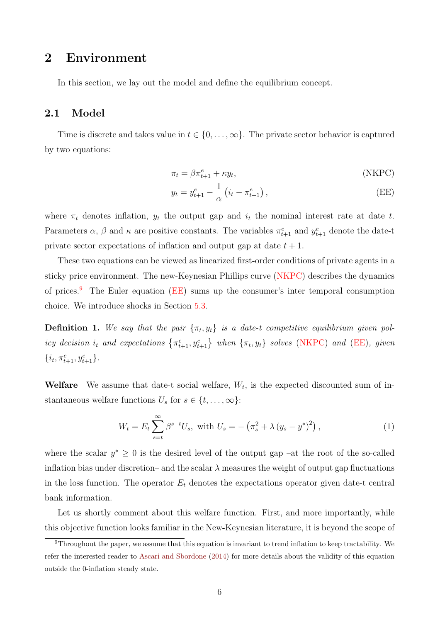### <span id="page-8-0"></span>2 Environment

In this section, we lay out the model and define the equilibrium concept.

### 2.1 Model

Time is discrete and takes value in  $t \in \{0, \ldots, \infty\}$ . The private sector behavior is captured by two equations:

<span id="page-8-3"></span><span id="page-8-1"></span>
$$
\pi_t = \beta \pi_{t+1}^e + \kappa y_t, \tag{NKPC}
$$

$$
y_t = y_{t+1}^e - \frac{1}{\alpha} \left( i_t - \pi_{t+1}^e \right),
$$
 (EE)

where  $\pi_t$  denotes inflation,  $y_t$  the output gap and  $i_t$  the nominal interest rate at date t. Parameters  $\alpha$ ,  $\beta$  and  $\kappa$  are positive constants. The variables  $\pi_{t+1}^e$  and  $y_{t+1}^e$  denote the date-t private sector expectations of inflation and output gap at date  $t + 1$ .

These two equations can be viewed as linearized first-order conditions of private agents in a sticky price environment. The new-Keynesian Phillips curve [\(NKPC\)](#page-8-1) describes the dynamics of prices.[9](#page-8-2) The Euler equation [\(EE\)](#page-8-3) sums up the consumer's inter temporal consumption choice. We introduce shocks in Section [5.3.](#page-24-0)

**Definition 1.** We say that the pair  $\{\pi_t, y_t\}$  is a date-t competitive equilibrium given policy decision  $i_t$  and expectations  $\{\pi_{t+1}^e, y_{t+1}^e\}$  when  $\{\pi_t, y_t\}$  solves [\(NKPC\)](#page-8-1) and [\(EE\)](#page-8-3), given  $\{i_t, \pi_{t+1}^e, y_{t+1}^e\}.$ 

**Welfare** We assume that date-t social welfare,  $W_t$ , is the expected discounted sum of instantaneous welfare functions  $U_s$  for  $s \in \{t, \ldots, \infty\}$ :

$$
W_t = E_t \sum_{s=t}^{\infty} \beta^{s-t} U_s, \text{ with } U_s = -(\pi_s^2 + \lambda (y_s - y^*)^2), \qquad (1)
$$

where the scalar  $y^* \geq 0$  is the desired level of the output gap –at the root of the so-called inflation bias under discretion– and the scalar  $\lambda$  measures the weight of output gap fluctuations in the loss function. The operator  $E_t$  denotes the expectations operator given date-t central bank information.

Let us shortly comment about this welfare function. First, and more importantly, while this objective function looks familiar in the New-Keynesian literature, it is beyond the scope of

<span id="page-8-2"></span><sup>9</sup>Throughout the paper, we assume that this equation is invariant to trend inflation to keep tractability. We refer the interested reader to [Ascari and Sbordone](#page-30-9) [\(2014\)](#page-30-9) for more details about the validity of this equation outside the 0-inflation steady state.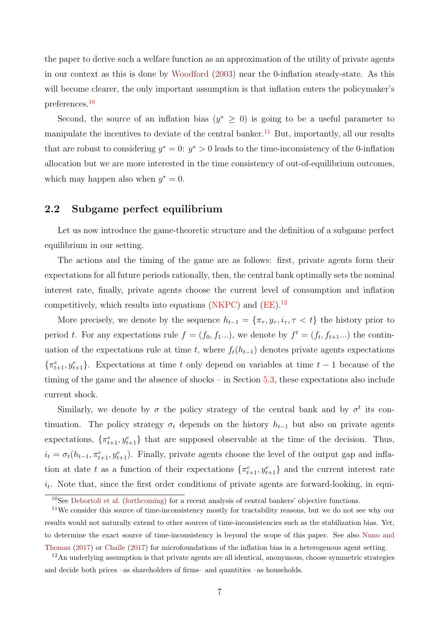the paper to derive such a welfare function as an approximation of the utility of private agents in our context as this is done by [Woodford](#page-33-1) [\(2003\)](#page-33-1) near the 0-inflation steady-state. As this will become clearer, the only important assumption is that inflation enters the policymaker's preferences.[10](#page-9-0)

Second, the source of an inflation bias  $(y^* \geq 0)$  is going to be a useful parameter to manipulate the incentives to deviate of the central banker.<sup>[11](#page-9-1)</sup> But, importantly, all our results that are robust to considering  $y^* = 0$ :  $y^* > 0$  leads to the time-inconsistency of the 0-inflation allocation but we are more interested in the time consistency of out-of-equilibrium outcomes, which may happen also when  $y^* = 0$ .

#### 2.2 Subgame perfect equilibrium

Let us now introduce the game-theoretic structure and the definition of a subgame perfect equilibrium in our setting.

The actions and the timing of the game are as follows: first, private agents form their expectations for all future periods rationally, then, the central bank optimally sets the nominal interest rate, finally, private agents choose the current level of consumption and inflation competitively, which results into equations [\(NKPC\)](#page-8-1) and  $(EE)^{12}$  $(EE)^{12}$  $(EE)^{12}$  $(EE)^{12}$ .

More precisely, we denote by the sequence  $h_{t-1} = {\pi_{\tau}, y_{\tau}, i_{\tau}, \tau < t}$  the history prior to period t. For any expectations rule  $f = (f_0, f_1...),$  we denote by  $f^t = (f_t, f_{t+1}...)$  the continuation of the expectations rule at time t, where  $f_t(h_{t-1})$  denotes private agents expectations  $\{\pi_{t+1}^e, y_{t+1}^e\}$ . Expectations at time t only depend on variables at time  $t-1$  because of the timing of the game and the absence of shocks – in Section [5.3,](#page-24-0) these expectations also include current shock.

Similarly, we denote by  $\sigma$  the policy strategy of the central bank and by  $\sigma^t$  its continuation. The policy strategy  $\sigma_t$  depends on the history  $h_{t-1}$  but also on private agents expectations,  $\{\pi_{t+1}^e, y_{t+1}^e\}$  that are supposed observable at the time of the decision. Thus,  $i_t = \sigma_t(h_{t-1}, \pi_{t+1}^e, y_{t+1}^e)$ . Finally, private agents choose the level of the output gap and inflation at date t as a function of their expectations  $\{\pi_{t+1}^e, y_{t+1}^e\}$  and the current interest rate  $i_t$ . Note that, since the first order conditions of private agents are forward-looking, in equi-

<span id="page-9-1"></span><span id="page-9-0"></span><sup>&</sup>lt;sup>10</sup>See [Debortoli et al.](#page-31-7) [\(forthcoming\)](#page-31-7) for a recent analysis of central bankers' objective functions.

<sup>&</sup>lt;sup>11</sup>We consider this source of time-inconsistency mostly for tractability reasons, but we do not see why our results would not naturally extend to other sources of time-inconsistencies such as the stabilization bias. Yet, to determine the exact source of time-inconsistency is beyond the scope of this paper. See also [Nuno and](#page-32-11) [Thomas](#page-32-11) [\(2017\)](#page-32-11) or [Challe](#page-30-10) [\(2017\)](#page-30-10) for microfoundations of the inflation bias in a heterogenous agent setting.

<span id="page-9-2"></span> $12$ An underlying assumption is that private agents are all identical, anonymous, choose symmetric strategies and decide both prices –as shareholders of firms– and quantities –as households.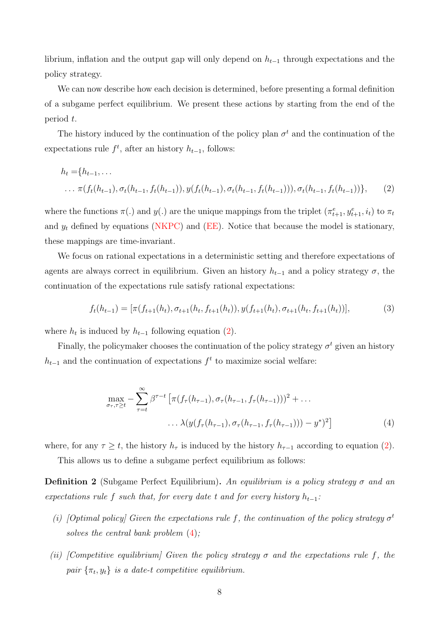librium, inflation and the output gap will only depend on  $h_{t-1}$  through expectations and the policy strategy.

We can now describe how each decision is determined, before presenting a formal definition of a subgame perfect equilibrium. We present these actions by starting from the end of the period t.

The history induced by the continuation of the policy plan  $\sigma^t$  and the continuation of the expectations rule  $f^t$ , after an history  $h_{t-1}$ , follows:

$$
h_t = \{h_{t-1}, \ldots
$$
  
 
$$
\ldots \pi(f_t(h_{t-1}), \sigma_t(h_{t-1}, f_t(h_{t-1})), y(f_t(h_{t-1}), \sigma_t(h_{t-1}, f_t(h_{t-1}))), \sigma_t(h_{t-1}, f_t(h_{t-1}))\},
$$
 (2)

where the functions  $\pi(.)$  and  $y(.)$  are the unique mappings from the triplet  $(\pi_{t+1}^e, y_{t+1}^e, i_t)$  to  $\pi_t$ and  $y_t$  defined by equations [\(NKPC\)](#page-8-1) and [\(EE\)](#page-8-3). Notice that because the model is stationary, these mappings are time-invariant.

We focus on rational expectations in a deterministic setting and therefore expectations of agents are always correct in equilibrium. Given an history  $h_{t-1}$  and a policy strategy  $\sigma$ , the continuation of the expectations rule satisfy rational expectations:

<span id="page-10-0"></span>
$$
f_t(h_{t-1}) = [\pi(f_{t+1}(h_t), \sigma_{t+1}(h_t, f_{t+1}(h_t)), y(f_{t+1}(h_t), \sigma_{t+1}(h_t, f_{t+1}(h_t)))],
$$
\n(3)

where  $h_t$  is induced by  $h_{t-1}$  following equation [\(2\)](#page-10-0).

Finally, the policymaker chooses the continuation of the policy strategy  $\sigma^t$  given an history  $h_{t-1}$  and the continuation of expectations  $f^t$  to maximize social welfare:

<span id="page-10-2"></span><span id="page-10-1"></span>
$$
\max_{\sigma_{\tau},\tau \geq t} -\sum_{\tau=t}^{\infty} \beta^{\tau-t} \left[ \pi(f_{\tau}(h_{\tau-1}), \sigma_{\tau}(h_{\tau-1}, f_{\tau}(h_{\tau-1})))^{2} + \dots \right. \\ \left. \dots \lambda(y(f_{\tau}(h_{\tau-1}), \sigma_{\tau}(h_{\tau-1}, f_{\tau}(h_{\tau-1}))) - y^{*})^{2} \right]
$$
(4)

where, for any  $\tau \geq t$ , the history  $h_{\tau}$  is induced by the history  $h_{\tau-1}$  according to equation [\(2\)](#page-10-0).

This allows us to define a subgame perfect equilibrium as follows:

<span id="page-10-3"></span>**Definition 2** (Subgame Perfect Equilibrium). An equilibrium is a policy strategy  $\sigma$  and an expectations rule f such that, for every date t and for every history  $h_{t-1}$ :

- (i) [Optimal policy] Given the expectations rule f, the continuation of the policy strategy  $\sigma^t$ solves the central bank problem [\(4\)](#page-10-1);
- (ii) [Competitive equilibrium] Given the policy strategy  $\sigma$  and the expectations rule f, the pair  $\{\pi_t, y_t\}$  is a date-t competitive equilibrium.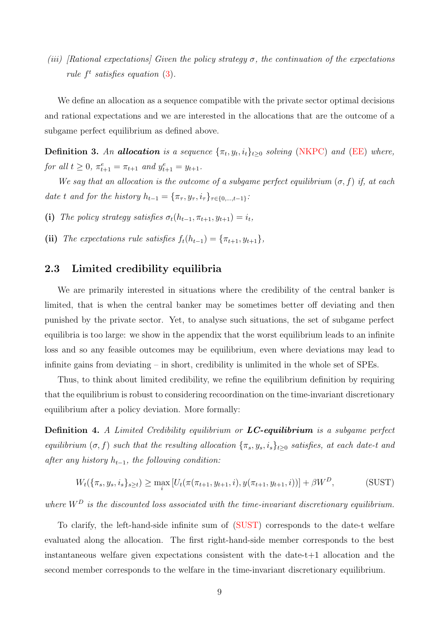(iii) [Rational expectations] Given the policy strategy  $\sigma$ , the continuation of the expectations rule  $f<sup>t</sup>$  satisfies equation [\(3\)](#page-10-2).

We define an allocation as a sequence compatible with the private sector optimal decisions and rational expectations and we are interested in the allocations that are the outcome of a subgame perfect equilibrium as defined above.

**Definition 3.** An **allocation** is a sequence  ${\{\pi_t, y_t, i_t\}}_{t\geq0}$  solving [\(NKPC\)](#page-8-1) and [\(EE\)](#page-8-3) where, for all  $t \geq 0$ ,  $\pi_{t+1}^e = \pi_{t+1}$  and  $y_{t+1}^e = y_{t+1}$ .

We say that an allocation is the outcome of a subgame perfect equilibrium  $(\sigma, f)$  if, at each date t and for the history  $h_{t-1} = {\pi_{\tau}, y_{\tau}, i_{\tau}}_{\tau \in \{0, \ldots, t-1\}}$ :

(i) The policy strategy satisfies  $\sigma_t(h_{t-1}, \pi_{t+1}, y_{t+1}) = i_t$ ,

(ii) The expectations rule satisfies  $f_t(h_{t-1}) = {\pi_{t+1}, y_{t+1}},$ 

### <span id="page-11-0"></span>2.3 Limited credibility equilibria

We are primarily interested in situations where the credibility of the central banker is limited, that is when the central banker may be sometimes better off deviating and then punished by the private sector. Yet, to analyse such situations, the set of subgame perfect equilibria is too large: we show in the appendix that the worst equilibrium leads to an infinite loss and so any feasible outcomes may be equilibrium, even where deviations may lead to infinite gains from deviating – in short, credibility is unlimited in the whole set of SPEs.

Thus, to think about limited credibility, we refine the equilibrium definition by requiring that the equilibrium is robust to considering recoordination on the time-invariant discretionary equilibrium after a policy deviation. More formally:

**Definition 4.** A Limited Credibility equilibrium or  $LC$ -equilibrium is a subgame perfect equilibrium  $(\sigma, f)$  such that the resulting allocation  $\{\pi_s, y_s, i_s\}_{t\geq 0}$  satisfies, at each date-t and after any history  $h_{t-1}$ , the following condition:

<span id="page-11-1"></span>
$$
W_t(\{\pi_s, y_s, i_s\}_{s \ge t}) \ge \max_i \left[U_t(\pi(\pi_{t+1}, y_{t+1}, i), y(\pi_{t+1}, y_{t+1}, i))\right] + \beta W^D, \tag{SUST}
$$

where  $W^D$  is the discounted loss associated with the time-invariant discretionary equilibrium.

To clarify, the left-hand-side infinite sum of [\(SUST\)](#page-11-1) corresponds to the date-t welfare evaluated along the allocation. The first right-hand-side member corresponds to the best instantaneous welfare given expectations consistent with the date-t+1 allocation and the second member corresponds to the welfare in the time-invariant discretionary equilibrium.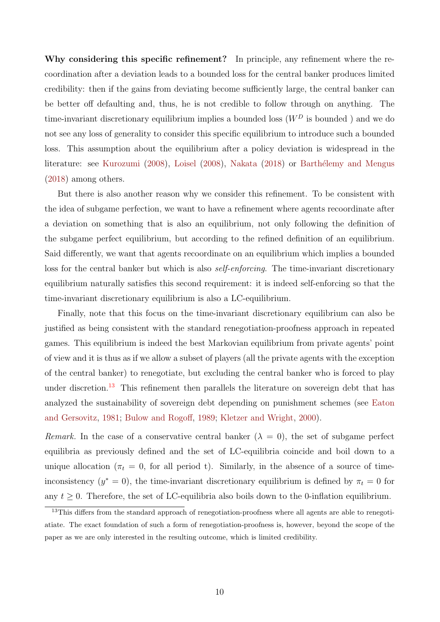Why considering this specific refinement? In principle, any refinement where the recoordination after a deviation leads to a bounded loss for the central banker produces limited credibility: then if the gains from deviating become sufficiently large, the central banker can be better off defaulting and, thus, he is not credible to follow through on anything. The time-invariant discretionary equilibrium implies a bounded loss  $(W^D)$  is bounded ) and we do not see any loss of generality to consider this specific equilibrium to introduce such a bounded loss. This assumption about the equilibrium after a policy deviation is widespread in the literature: see [Kurozumi](#page-32-3) [\(2008\)](#page-32-2), [Loisel](#page-32-2) (2008), [Nakata](#page-32-9) [\(2018\)](#page-32-9) or Barthélemy and Mengus [\(2018\)](#page-30-6) among others.

But there is also another reason why we consider this refinement. To be consistent with the idea of subgame perfection, we want to have a refinement where agents recoordinate after a deviation on something that is also an equilibrium, not only following the definition of the subgame perfect equilibrium, but according to the refined definition of an equilibrium. Said differently, we want that agents recoordinate on an equilibrium which implies a bounded loss for the central banker but which is also *self-enforcing*. The time-invariant discretionary equilibrium naturally satisfies this second requirement: it is indeed self-enforcing so that the time-invariant discretionary equilibrium is also a LC-equilibrium.

Finally, note that this focus on the time-invariant discretionary equilibrium can also be justified as being consistent with the standard renegotiation-proofness approach in repeated games. This equilibrium is indeed the best Markovian equilibrium from private agents' point of view and it is thus as if we allow a subset of players (all the private agents with the exception of the central banker) to renegotiate, but excluding the central banker who is forced to play under discretion.<sup>[13](#page-12-0)</sup> This refinement then parallels the literature on sovereign debt that has analyzed the sustainability of sovereign debt depending on punishment schemes (see [Eaton](#page-31-8) [and Gersovitz,](#page-31-8) [1981;](#page-31-8) [Bulow and Rogoff,](#page-30-11) [1989;](#page-30-11) [Kletzer and Wright,](#page-31-9) [2000\)](#page-31-9).

Remark. In the case of a conservative central banker  $(\lambda = 0)$ , the set of subgame perfect equilibria as previously defined and the set of LC-equilibria coincide and boil down to a unique allocation ( $\pi_t = 0$ , for all period t). Similarly, in the absence of a source of timeinconsistency  $(y^* = 0)$ , the time-invariant discretionary equilibrium is defined by  $\pi_t = 0$  for any  $t \geq 0$ . Therefore, the set of LC-equilibria also boils down to the 0-inflation equilibrium.

<span id="page-12-0"></span><sup>&</sup>lt;sup>13</sup>This differs from the standard approach of renegotiation-proofness where all agents are able to renegotiatiate. The exact foundation of such a form of renegotiation-proofness is, however, beyond the scope of the paper as we are only interested in the resulting outcome, which is limited credibility.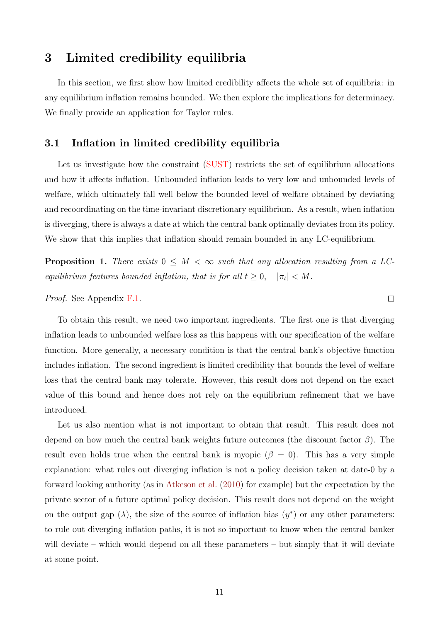### <span id="page-13-1"></span>3 Limited credibility equilibria

In this section, we first show how limited credibility affects the whole set of equilibria: in any equilibrium inflation remains bounded. We then explore the implications for determinacy. We finally provide an application for Taylor rules.

### 3.1 Inflation in limited credibility equilibria

Let us investigate how the constraint [\(SUST\)](#page-11-1) restricts the set of equilibrium allocations and how it affects inflation. Unbounded inflation leads to very low and unbounded levels of welfare, which ultimately fall well below the bounded level of welfare obtained by deviating and recoordinating on the time-invariant discretionary equilibrium. As a result, when inflation is diverging, there is always a date at which the central bank optimally deviates from its policy. We show that this implies that inflation should remain bounded in any LC-equilibrium.

<span id="page-13-0"></span>**Proposition 1.** There exists  $0 \leq M < \infty$  such that any allocation resulting from a LCequilibrium features bounded inflation, that is for all  $t \geq 0$ ,  $|\pi_t| < M$ .

Proof. See Appendix [F.1.](#page-42-0)

To obtain this result, we need two important ingredients. The first one is that diverging inflation leads to unbounded welfare loss as this happens with our specification of the welfare function. More generally, a necessary condition is that the central bank's objective function includes inflation. The second ingredient is limited credibility that bounds the level of welfare loss that the central bank may tolerate. However, this result does not depend on the exact value of this bound and hence does not rely on the equilibrium refinement that we have introduced.

Let us also mention what is not important to obtain that result. This result does not depend on how much the central bank weights future outcomes (the discount factor  $\beta$ ). The result even holds true when the central bank is myopic ( $\beta = 0$ ). This has a very simple explanation: what rules out diverging inflation is not a policy decision taken at date-0 by a forward looking authority (as in [Atkeson et al.](#page-30-0) [\(2010\)](#page-30-0) for example) but the expectation by the private sector of a future optimal policy decision. This result does not depend on the weight on the output gap  $(\lambda)$ , the size of the source of inflation bias  $(y^*)$  or any other parameters: to rule out diverging inflation paths, it is not so important to know when the central banker will deviate – which would depend on all these parameters – but simply that it will deviate at some point.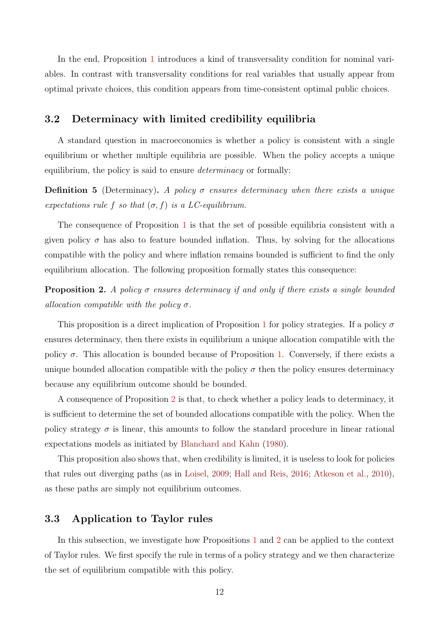In the end, Proposition [1](#page-13-0) introduces a kind of transversality condition for nominal variables. In contrast with transversality conditions for real variables that usually appear from optimal private choices, this condition appears from time-consistent optimal public choices.

### 3.2 Determinacy with limited credibility equilibria

A standard question in macroeconomics is whether a policy is consistent with a single equilibrium or whether multiple equilibria are possible. When the policy accepts a unique equilibrium, the policy is said to ensure determinacy or formally:

<span id="page-14-1"></span>**Definition 5** (Determinacy). A policy  $\sigma$  ensures determinacy when there exists a unique expectations rule f so that  $(\sigma, f)$  is a LC-equilibrium.

The consequence of Proposition [1](#page-13-0) is that the set of possible equilibria consistent with a given policy  $\sigma$  has also to feature bounded inflation. Thus, by solving for the allocations compatible with the policy and where inflation remains bounded is sufficient to find the only equilibrium allocation. The following proposition formally states this consequence:

<span id="page-14-0"></span>**Proposition 2.** A policy  $\sigma$  ensures determinacy if and only if there exists a single bounded allocation compatible with the policy  $\sigma$ .

This proposition is a direct implication of Proposition [1](#page-13-0) for policy strategies. If a policy  $\sigma$ ensures determinacy, then there exists in equilibrium a unique allocation compatible with the policy  $\sigma$ . This allocation is bounded because of Proposition [1.](#page-13-0) Conversely, if there exists a unique bounded allocation compatible with the policy  $\sigma$  then the policy ensures determinacy because any equilibrium outcome should be bounded.

A consequence of Proposition [2](#page-14-0) is that, to check whether a policy leads to determinacy, it is sufficient to determine the set of bounded allocations compatible with the policy. When the policy strategy  $\sigma$  is linear, this amounts to follow the standard procedure in linear rational expectations models as initiated by [Blanchard and Kahn](#page-30-2) [\(1980\)](#page-30-2).

This proposition also shows that, when credibility is limited, it is useless to look for policies that rules out diverging paths (as in [Loisel,](#page-32-8) [2009;](#page-32-8) [Hall and Reis,](#page-31-2) [2016;](#page-31-2) [Atkeson et al.,](#page-30-0) [2010\)](#page-30-0), as these paths are simply not equilibrium outcomes.

### 3.3 Application to Taylor rules

In this subsection, we investigate how Propositions [1](#page-13-0) and [2](#page-14-0) can be applied to the context of Taylor rules. We first specify the rule in terms of a policy strategy and we then characterize the set of equilibrium compatible with this policy.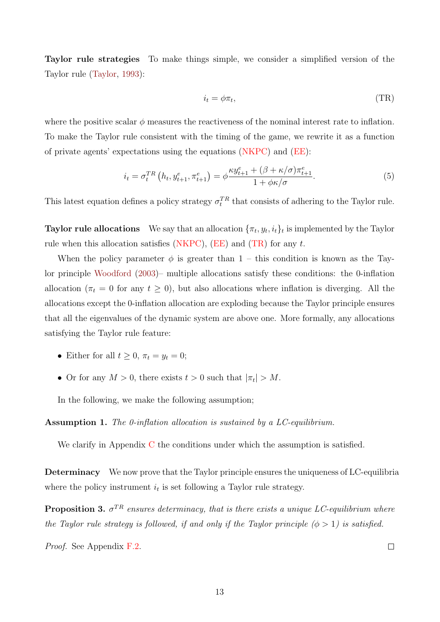Taylor rule strategies To make things simple, we consider a simplified version of the Taylor rule [\(Taylor,](#page-33-4) [1993\)](#page-33-4):

<span id="page-15-0"></span>
$$
i_t = \phi \pi_t,\tag{TR}
$$

where the positive scalar  $\phi$  measures the reactiveness of the nominal interest rate to inflation. To make the Taylor rule consistent with the timing of the game, we rewrite it as a function of private agents' expectations using the equations [\(NKPC\)](#page-8-1) and [\(EE\)](#page-8-3):

$$
i_{t} = \sigma_{t}^{TR} (h_{t}, y_{t+1}^{e}, \pi_{t+1}^{e}) = \phi \frac{\kappa y_{t+1}^{e} + (\beta + \kappa/\sigma)\pi_{t+1}^{e}}{1 + \phi \kappa/\sigma}.
$$
 (5)

This latest equation defines a policy strategy  $\sigma_t^{TR}$  that consists of adhering to the Taylor rule.

**Taylor rule allocations** We say that an allocation  $\{\pi_t, y_t, i_t\}_t$  is implemented by the Taylor rule when this allocation satisfies [\(NKPC\)](#page-8-1), [\(EE\)](#page-8-3) and [\(TR\)](#page-15-0) for any  $t$ .

When the policy parameter  $\phi$  is greater than 1 – this condition is known as the Taylor principle [Woodford](#page-33-1) [\(2003\)](#page-33-1)– multiple allocations satisfy these conditions: the 0-inflation allocation ( $\pi_t = 0$  for any  $t \geq 0$ ), but also allocations where inflation is diverging. All the allocations except the 0-inflation allocation are exploding because the Taylor principle ensures that all the eigenvalues of the dynamic system are above one. More formally, any allocations satisfying the Taylor rule feature:

- Either for all  $t \geq 0$ ,  $\pi_t = y_t = 0$ ;
- Or for any  $M > 0$ , there exists  $t > 0$  such that  $|\pi_t| > M$ .

In the following, we make the following assumption;

<span id="page-15-2"></span>Assumption 1. The 0-inflation allocation is sustained by a LC-equilibrium.

We clarify in Appendix [C](#page-38-0) the conditions under which the assumption is satisfied.

Determinacy We now prove that the Taylor principle ensures the uniqueness of LC-equilibria where the policy instrument  $i_t$  is set following a Taylor rule strategy.

<span id="page-15-1"></span>**Proposition 3.**  $\sigma^{TR}$  ensures determinacy, that is there exists a unique LC-equilibrium where the Taylor rule strategy is followed, if and only if the Taylor principle  $(\phi > 1)$  is satisfied.

Proof. See Appendix [F.2.](#page-42-1)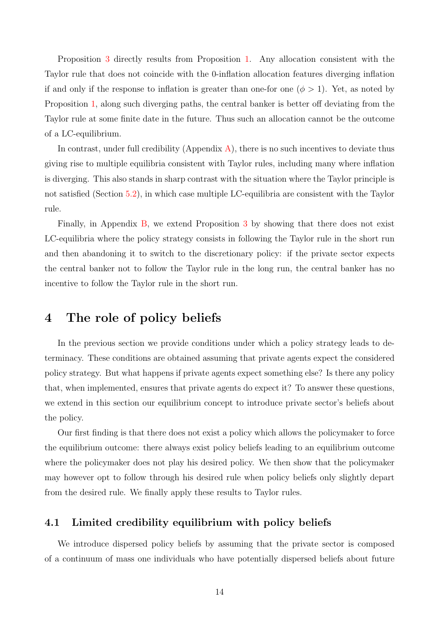Proposition [3](#page-15-1) directly results from Proposition [1.](#page-13-0) Any allocation consistent with the Taylor rule that does not coincide with the 0-inflation allocation features diverging inflation if and only if the response to inflation is greater than one-for one  $(\phi > 1)$ . Yet, as noted by Proposition [1,](#page-13-0) along such diverging paths, the central banker is better off deviating from the Taylor rule at some finite date in the future. Thus such an allocation cannot be the outcome of a LC-equilibrium.

In contrast, under full credibility (Appendix [A\)](#page-34-0), there is no such incentives to deviate thus giving rise to multiple equilibria consistent with Taylor rules, including many where inflation is diverging. This also stands in sharp contrast with the situation where the Taylor principle is not satisfied (Section [5.2\)](#page-23-0), in which case multiple LC-equilibria are consistent with the Taylor rule.

Finally, in Appendix [B,](#page-37-0) we extend Proposition [3](#page-15-1) by showing that there does not exist LC-equilibria where the policy strategy consists in following the Taylor rule in the short run and then abandoning it to switch to the discretionary policy: if the private sector expects the central banker not to follow the Taylor rule in the long run, the central banker has no incentive to follow the Taylor rule in the short run.

### 4 The role of policy beliefs

In the previous section we provide conditions under which a policy strategy leads to determinacy. These conditions are obtained assuming that private agents expect the considered policy strategy. But what happens if private agents expect something else? Is there any policy that, when implemented, ensures that private agents do expect it? To answer these questions, we extend in this section our equilibrium concept to introduce private sector's beliefs about the policy.

Our first finding is that there does not exist a policy which allows the policymaker to force the equilibrium outcome: there always exist policy beliefs leading to an equilibrium outcome where the policymaker does not play his desired policy. We then show that the policymaker may however opt to follow through his desired rule when policy beliefs only slightly depart from the desired rule. We finally apply these results to Taylor rules.

### 4.1 Limited credibility equilibrium with policy beliefs

We introduce dispersed policy beliefs by assuming that the private sector is composed of a continuum of mass one individuals who have potentially dispersed beliefs about future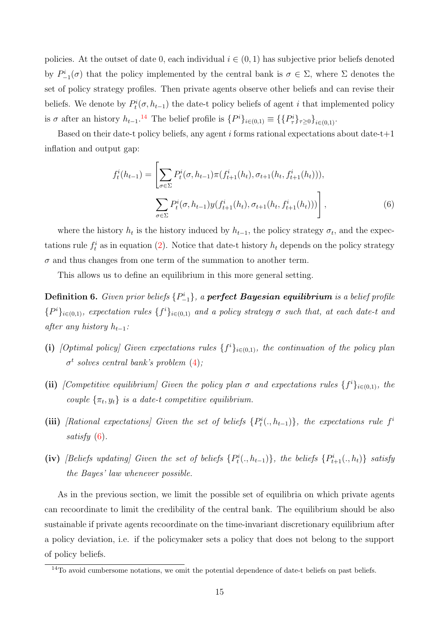policies. At the outset of date 0, each individual  $i \in (0,1)$  has subjective prior beliefs denoted by  $P_{-1}^i(\sigma)$  that the policy implemented by the central bank is  $\sigma \in \Sigma$ , where  $\Sigma$  denotes the set of policy strategy profiles. Then private agents observe other beliefs and can revise their beliefs. We denote by  $P_t^i(\sigma, h_{t-1})$  the date-t policy beliefs of agent i that implemented policy is  $\sigma$  after an history  $h_{t-1}$ .<sup>[14](#page-17-0)</sup> The belief profile is  $\{P^i\}_{i\in(0,1)} \equiv \{\{P^i_{\tau}\}_{\tau\geq 0}\}_{i\in(0,1)}$ .

Based on their date-t policy beliefs, any agent i forms rational expectations about date-t $+1$ inflation and output gap:

<span id="page-17-1"></span>
$$
f_t^i(h_{t-1}) = \left[ \sum_{\sigma \in \Sigma} P_t^i(\sigma, h_{t-1}) \pi(f_{t+1}^i(h_t), \sigma_{t+1}(h_t, f_{t+1}^i(h_t))), \right.\\ \left. \sum_{\sigma \in \Sigma} P_t^i(\sigma, h_{t-1}) y(f_{t+1}^i(h_t), \sigma_{t+1}(h_t, f_{t+1}^i(h_t))) \right],
$$
\n(6)

where the history  $h_t$  is the history induced by  $h_{t-1}$ , the policy strategy  $\sigma_t$ , and the expectations rule  $f_t^i$  as in equation [\(2\)](#page-10-0). Notice that date-t history  $h_t$  depends on the policy strategy  $\sigma$  and thus changes from one term of the summation to another term.

This allows us to define an equilibrium in this more general setting.

**Definition 6.** Given prior beliefs  $\{P_{-1}^i\}$ , a **perfect Bayesian equilibrium** is a belief profile  ${P<sup>i</sup>}_{i\in(0,1)}$ , expectation rules  ${f<sup>i</sup>}_{i\in(0,1)}$  and a policy strategy  $\sigma$  such that, at each date-t and after any history  $h_{t-1}$ :

- (i) [Optimal policy] Given expectations rules  $\{f^i\}_{i\in(0,1)}$ , the continuation of the policy plan  $\sigma^t$  solves central bank's problem  $(4)$ ;
- (ii) [Competitive equilibrium] Given the policy plan  $\sigma$  and expectations rules  $\{f^i\}_{i\in(0,1)}$ , the couple  $\{\pi_t, y_t\}$  is a date-t competitive equilibrium.
- (iii) [Rational expectations] Given the set of beliefs  $\{P_t^i(.,h_{t-1})\}$ , the expectations rule  $f^i$ satisfy  $(6)$ .
- (iv) [Beliefs updating] Given the set of beliefs  $\{P_t^i(.,h_{t-1})\}$ , the beliefs  $\{P_{t+1}^i(.,h_t)\}$  satisfy the Bayes' law whenever possible.

As in the previous section, we limit the possible set of equilibria on which private agents can recoordinate to limit the credibility of the central bank. The equilibrium should be also sustainable if private agents recoordinate on the time-invariant discretionary equilibrium after a policy deviation, i.e. if the policymaker sets a policy that does not belong to the support of policy beliefs.

<span id="page-17-0"></span><sup>&</sup>lt;sup>14</sup>To avoid cumbersome notations, we omit the potential dependence of date-t beliefs on past beliefs.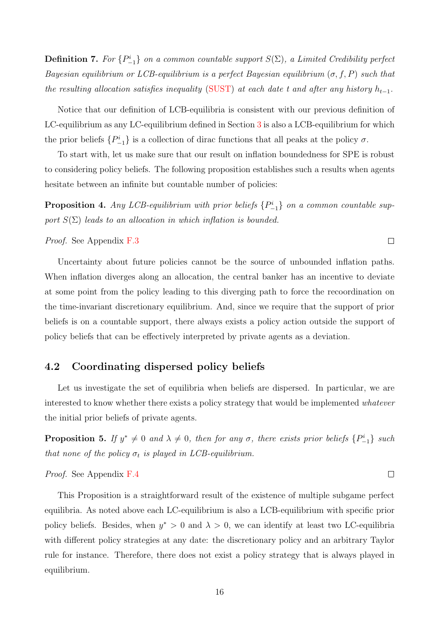**Definition 7.** For  ${P_{-1}^i}$  on a common countable support  $S(\Sigma)$ , a Limited Credibility perfect Bayesian equilibrium or LCB-equilibrium is a perfect Bayesian equilibrium  $(\sigma, f, P)$  such that the resulting allocation satisfies inequality [\(SUST\)](#page-11-1) at each date t and after any history  $h_{t-1}$ .

Notice that our definition of LCB-equilibria is consistent with our previous definition of LC-equilibrium as any LC-equilibrium defined in Section [3](#page-13-1) is also a LCB-equilibrium for which the prior beliefs  $\{P_{-1}^i\}$  is a collection of dirac functions that all peaks at the policy  $\sigma$ .

To start with, let us make sure that our result on inflation boundedness for SPE is robust to considering policy beliefs. The following proposition establishes such a results when agents hesitate between an infinite but countable number of policies:

<span id="page-18-1"></span>**Proposition 4.** Any LCB-equilibrium with prior beliefs  $\{P_{-1}^i\}$  on a common countable support  $S(\Sigma)$  leads to an allocation in which inflation is bounded.

Proof. See Appendix [F.3](#page-43-0)

Uncertainty about future policies cannot be the source of unbounded inflation paths. When inflation diverges along an allocation, the central banker has an incentive to deviate at some point from the policy leading to this diverging path to force the recoordination on the time-invariant discretionary equilibrium. And, since we require that the support of prior beliefs is on a countable support, there always exists a policy action outside the support of policy beliefs that can be effectively interpreted by private agents as a deviation.

### 4.2 Coordinating dispersed policy beliefs

Let us investigate the set of equilibria when beliefs are dispersed. In particular, we are interested to know whether there exists a policy strategy that would be implemented whatever the initial prior beliefs of private agents.

<span id="page-18-0"></span>**Proposition 5.** If  $y^* \neq 0$  and  $\lambda \neq 0$ , then for any  $\sigma$ , there exists prior beliefs  $\{P_{-1}^i\}$  such that none of the policy  $\sigma_t$  is played in LCB-equilibrium.

Proof. See Appendix [F.4](#page-43-1)

This Proposition is a straightforward result of the existence of multiple subgame perfect equilibria. As noted above each LC-equilibrium is also a LCB-equilibrium with specific prior policy beliefs. Besides, when  $y^* > 0$  and  $\lambda > 0$ , we can identify at least two LC-equilibria with different policy strategies at any date: the discretionary policy and an arbitrary Taylor rule for instance. Therefore, there does not exist a policy strategy that is always played in equilibrium.

 $\Box$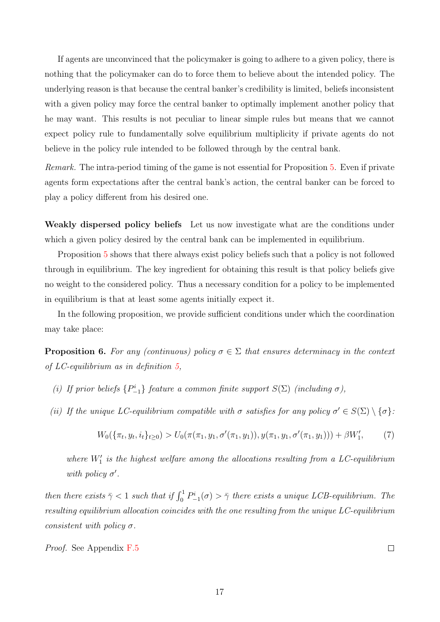If agents are unconvinced that the policymaker is going to adhere to a given policy, there is nothing that the policymaker can do to force them to believe about the intended policy. The underlying reason is that because the central banker's credibility is limited, beliefs inconsistent with a given policy may force the central banker to optimally implement another policy that he may want. This results is not peculiar to linear simple rules but means that we cannot expect policy rule to fundamentally solve equilibrium multiplicity if private agents do not believe in the policy rule intended to be followed through by the central bank.

Remark. The intra-period timing of the game is not essential for Proposition [5.](#page-18-0) Even if private agents form expectations after the central bank's action, the central banker can be forced to play a policy different from his desired one.

Weakly dispersed policy beliefs Let us now investigate what are the conditions under which a given policy desired by the central bank can be implemented in equilibrium.

Proposition [5](#page-18-0) shows that there always exist policy beliefs such that a policy is not followed through in equilibrium. The key ingredient for obtaining this result is that policy beliefs give no weight to the considered policy. Thus a necessary condition for a policy to be implemented in equilibrium is that at least some agents initially expect it.

In the following proposition, we provide sufficient conditions under which the coordination may take place:

<span id="page-19-0"></span>**Proposition 6.** For any (continuous) policy  $\sigma \in \Sigma$  that ensures determinacy in the context of LC-equilibrium as in definition [5,](#page-14-1)

- (i) If prior beliefs  $\{P_{-1}^i\}$  feature a common finite support  $S(\Sigma)$  (including  $\sigma$ ),
- (ii) If the unique LC-equilibrium compatible with  $\sigma$  satisfies for any policy  $\sigma' \in S(\Sigma) \setminus {\{\sigma\}}$ .

<span id="page-19-1"></span>
$$
W_0(\{\pi_t, y_t, i_t\}_{t\geq 0}) > U_0(\pi(\pi_1, y_1, \sigma'(\pi_1, y_1)), y(\pi_1, y_1, \sigma'(\pi_1, y_1))) + \beta W_1',\tag{7}
$$

where  $W'_1$  is the highest welfare among the allocations resulting from a LC-equilibrium with policy  $\sigma'$ .

then there exists  $\bar{\gamma} < 1$  such that if  $\int_0^1 P_{-1}^i(\sigma) > \bar{\gamma}$  there exists a unique LCB-equilibrium. The resulting equilibrium allocation coincides with the one resulting from the unique LC-equilibrium consistent with policy  $\sigma$ .

Proof. See Appendix [F.5](#page-43-2)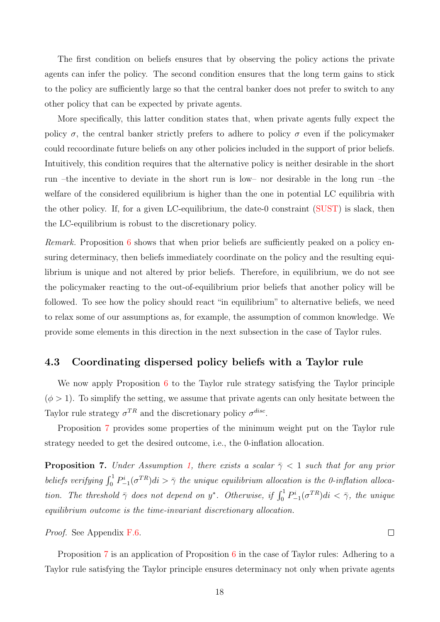The first condition on beliefs ensures that by observing the policy actions the private agents can infer the policy. The second condition ensures that the long term gains to stick to the policy are sufficiently large so that the central banker does not prefer to switch to any other policy that can be expected by private agents.

More specifically, this latter condition states that, when private agents fully expect the policy  $\sigma$ , the central banker strictly prefers to adhere to policy  $\sigma$  even if the policymaker could recoordinate future beliefs on any other policies included in the support of prior beliefs. Intuitively, this condition requires that the alternative policy is neither desirable in the short run –the incentive to deviate in the short run is low– nor desirable in the long run –the welfare of the considered equilibrium is higher than the one in potential LC equilibria with the other policy. If, for a given LC-equilibrium, the date-0 constraint [\(SUST\)](#page-11-1) is slack, then the LC-equilibrium is robust to the discretionary policy.

Remark. Proposition [6](#page-19-0) shows that when prior beliefs are sufficiently peaked on a policy ensuring determinacy, then beliefs immediately coordinate on the policy and the resulting equilibrium is unique and not altered by prior beliefs. Therefore, in equilibrium, we do not see the policymaker reacting to the out-of-equilibrium prior beliefs that another policy will be followed. To see how the policy should react "in equilibrium" to alternative beliefs, we need to relax some of our assumptions as, for example, the assumption of common knowledge. We provide some elements in this direction in the next subsection in the case of Taylor rules.

#### 4.3 Coordinating dispersed policy beliefs with a Taylor rule

We now apply Proposition [6](#page-19-0) to the Taylor rule strategy satisfying the Taylor principle  $(\phi > 1)$ . To simplify the setting, we assume that private agents can only hesitate between the Taylor rule strategy  $\sigma^{TR}$  and the discretionary policy  $\sigma^{disc}$ .

Proposition [7](#page-20-0) provides some properties of the minimum weight put on the Taylor rule strategy needed to get the desired outcome, i.e., the 0-inflation allocation.

<span id="page-20-0"></span>**Proposition 7.** Under Assumption [1,](#page-15-2) there exists a scalar  $\bar{\gamma} < 1$  such that for any prior beliefs verifying  $\int_0^1 P_{-1}^i(\sigma^{TR})di > \overline{\gamma}$  the unique equilibrium allocation is the 0-inflation allocation. The threshold  $\bar{\gamma}$  does not depend on y<sup>\*</sup>. Otherwise, if  $\int_0^1 P_{-1}^i(\sigma^{TR})di < \bar{\gamma}$ , the unique equilibrium outcome is the time-invariant discretionary allocation.

Proof. See Appendix [F.6.](#page-44-0)

Proposition [7](#page-20-0) is an application of Proposition [6](#page-19-0) in the case of Taylor rules: Adhering to a Taylor rule satisfying the Taylor principle ensures determinacy not only when private agents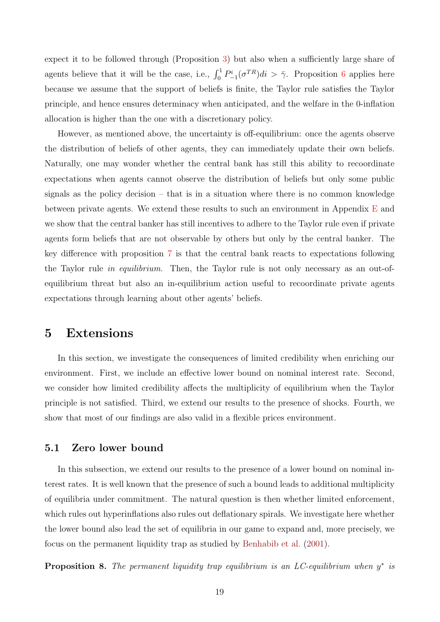expect it to be followed through (Proposition [3\)](#page-15-1) but also when a sufficiently large share of agents believe that it will be the case, i.e.,  $\int_0^1 P_{-1}^i(\sigma^{TR})di > \overline{\gamma}$ . Proposition [6](#page-19-0) applies here because we assume that the support of beliefs is finite, the Taylor rule satisfies the Taylor principle, and hence ensures determinacy when anticipated, and the welfare in the 0-inflation allocation is higher than the one with a discretionary policy.

However, as mentioned above, the uncertainty is off-equilibrium: once the agents observe the distribution of beliefs of other agents, they can immediately update their own beliefs. Naturally, one may wonder whether the central bank has still this ability to recoordinate expectations when agents cannot observe the distribution of beliefs but only some public signals as the policy decision – that is in a situation where there is no common knowledge between private agents. We extend these results to such an environment in Appendix  $E$  and we show that the central banker has still incentives to adhere to the Taylor rule even if private agents form beliefs that are not observable by others but only by the central banker. The key difference with proposition [7](#page-20-0) is that the central bank reacts to expectations following the Taylor rule *in equilibrium*. Then, the Taylor rule is not only necessary as an out-ofequilibrium threat but also an in-equilibrium action useful to recoordinate private agents expectations through learning about other agents' beliefs.

### 5 Extensions

In this section, we investigate the consequences of limited credibility when enriching our environment. First, we include an effective lower bound on nominal interest rate. Second, we consider how limited credibility affects the multiplicity of equilibrium when the Taylor principle is not satisfied. Third, we extend our results to the presence of shocks. Fourth, we show that most of our findings are also valid in a flexible prices environment.

### <span id="page-21-0"></span>5.1 Zero lower bound

In this subsection, we extend our results to the presence of a lower bound on nominal interest rates. It is well known that the presence of such a bound leads to additional multiplicity of equilibria under commitment. The natural question is then whether limited enforcement, which rules out hyperinflations also rules out deflationary spirals. We investigate here whether the lower bound also lead the set of equilibria in our game to expand and, more precisely, we focus on the permanent liquidity trap as studied by [Benhabib et al.](#page-30-12) [\(2001\)](#page-30-12).

<span id="page-21-1"></span>**Proposition 8.** The permanent liquidity trap equilibrium is an LC-equilibrium when  $y^*$  is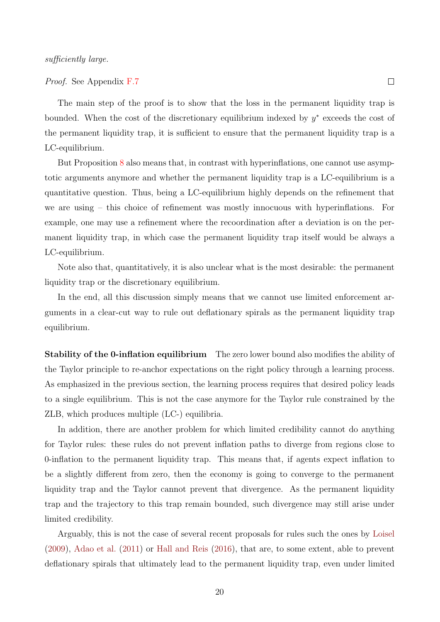#### Proof. See Appendix [F.7](#page-44-1)

The main step of the proof is to show that the loss in the permanent liquidity trap is bounded. When the cost of the discretionary equilibrium indexed by  $y^*$  exceeds the cost of the permanent liquidity trap, it is sufficient to ensure that the permanent liquidity trap is a LC-equilibrium.

But Proposition [8](#page-21-1) also means that, in contrast with hyperinflations, one cannot use asymptotic arguments anymore and whether the permanent liquidity trap is a LC-equilibrium is a quantitative question. Thus, being a LC-equilibrium highly depends on the refinement that we are using – this choice of refinement was mostly innocuous with hyperinflations. For example, one may use a refinement where the recoordination after a deviation is on the permanent liquidity trap, in which case the permanent liquidity trap itself would be always a LC-equilibrium.

Note also that, quantitatively, it is also unclear what is the most desirable: the permanent liquidity trap or the discretionary equilibrium.

In the end, all this discussion simply means that we cannot use limited enforcement arguments in a clear-cut way to rule out deflationary spirals as the permanent liquidity trap equilibrium.

Stability of the 0-inflation equilibrium The zero lower bound also modifies the ability of the Taylor principle to re-anchor expectations on the right policy through a learning process. As emphasized in the previous section, the learning process requires that desired policy leads to a single equilibrium. This is not the case anymore for the Taylor rule constrained by the ZLB, which produces multiple (LC-) equilibria.

In addition, there are another problem for which limited credibility cannot do anything for Taylor rules: these rules do not prevent inflation paths to diverge from regions close to 0-inflation to the permanent liquidity trap. This means that, if agents expect inflation to be a slightly different from zero, then the economy is going to converge to the permanent liquidity trap and the Taylor cannot prevent that divergence. As the permanent liquidity trap and the trajectory to this trap remain bounded, such divergence may still arise under limited credibility.

Arguably, this is not the case of several recent proposals for rules such the ones by [Loisel](#page-32-8) [\(2009\)](#page-32-8), [Adao et al.](#page-30-1) [\(2011\)](#page-30-1) or [Hall and Reis](#page-31-2) [\(2016\)](#page-31-2), that are, to some extent, able to prevent deflationary spirals that ultimately lead to the permanent liquidity trap, even under limited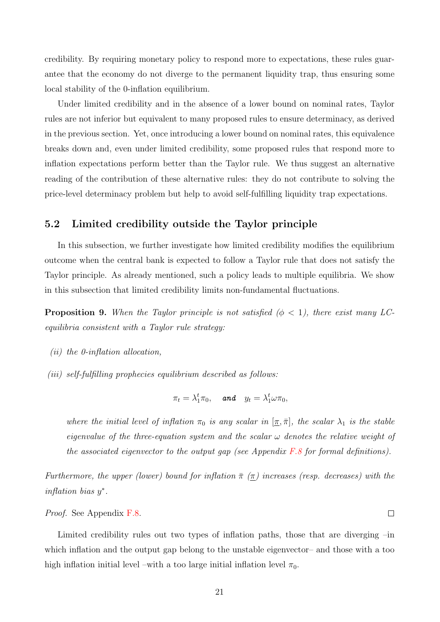credibility. By requiring monetary policy to respond more to expectations, these rules guarantee that the economy do not diverge to the permanent liquidity trap, thus ensuring some local stability of the 0-inflation equilibrium.

Under limited credibility and in the absence of a lower bound on nominal rates, Taylor rules are not inferior but equivalent to many proposed rules to ensure determinacy, as derived in the previous section. Yet, once introducing a lower bound on nominal rates, this equivalence breaks down and, even under limited credibility, some proposed rules that respond more to inflation expectations perform better than the Taylor rule. We thus suggest an alternative reading of the contribution of these alternative rules: they do not contribute to solving the price-level determinacy problem but help to avoid self-fulfilling liquidity trap expectations.

### <span id="page-23-0"></span>5.2 Limited credibility outside the Taylor principle

In this subsection, we further investigate how limited credibility modifies the equilibrium outcome when the central bank is expected to follow a Taylor rule that does not satisfy the Taylor principle. As already mentioned, such a policy leads to multiple equilibria. We show in this subsection that limited credibility limits non-fundamental fluctuations.

<span id="page-23-1"></span>**Proposition 9.** When the Taylor principle is not satisfied  $(\phi < 1)$ , there exist many LCequilibria consistent with a Taylor rule strategy:

- $(ii)$  the 0-inflation allocation.
- (iii) self-fulfilling prophecies equilibrium described as follows:

$$
\pi_t = \lambda_1^t \pi_0, \quad \text{and} \quad y_t = \lambda_1^t \omega \pi_0,
$$

where the initial level of inflation  $\pi_0$  is any scalar in  $[\underline{\pi}, \overline{\pi}]$ , the scalar  $\lambda_1$  is the stable eigenvalue of the three-equation system and the scalar  $\omega$  denotes the relative weight of the associated eigenvector to the output gap (see Appendix  $F.8$  for formal definitions).

 $\Box$ 

Furthermore, the upper (lower) bound for inflation  $\pi$  ( $\pi$ ) increases (resp. decreases) with the inflation bias  $y^*$ .

Proof. See Appendix [F.8.](#page-44-2)

Limited credibility rules out two types of inflation paths, those that are diverging –in which inflation and the output gap belong to the unstable eigenvector– and those with a too high inflation initial level –with a too large initial inflation level  $\pi_0$ .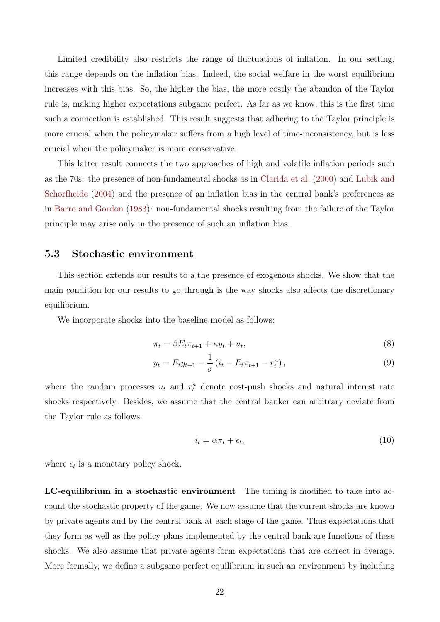Limited credibility also restricts the range of fluctuations of inflation. In our setting, this range depends on the inflation bias. Indeed, the social welfare in the worst equilibrium increases with this bias. So, the higher the bias, the more costly the abandon of the Taylor rule is, making higher expectations subgame perfect. As far as we know, this is the first time such a connection is established. This result suggests that adhering to the Taylor principle is more crucial when the policymaker suffers from a high level of time-inconsistency, but is less crucial when the policymaker is more conservative.

This latter result connects the two approaches of high and volatile inflation periods such as the 70s: the presence of non-fundamental shocks as in [Clarida et al.](#page-31-5) [\(2000\)](#page-31-5) and [Lubik and](#page-32-12) [Schorfheide](#page-32-12) [\(2004\)](#page-32-12) and the presence of an inflation bias in the central bank's preferences as in [Barro and Gordon](#page-30-3) [\(1983\)](#page-30-3): non-fundamental shocks resulting from the failure of the Taylor principle may arise only in the presence of such an inflation bias.

#### <span id="page-24-0"></span>5.3 Stochastic environment

This section extends our results to a the presence of exogenous shocks. We show that the main condition for our results to go through is the way shocks also affects the discretionary equilibrium.

We incorporate shocks into the baseline model as follows:

$$
\pi_t = \beta E_t \pi_{t+1} + \kappa y_t + u_t,\tag{8}
$$

$$
y_t = E_t y_{t+1} - \frac{1}{\sigma} \left( i_t - E_t \pi_{t+1} - r_t^n \right), \tag{9}
$$

where the random processes  $u_t$  and  $r_t^n$  denote cost-push shocks and natural interest rate shocks respectively. Besides, we assume that the central banker can arbitrary deviate from the Taylor rule as follows:

$$
i_t = \alpha \pi_t + \epsilon_t,\tag{10}
$$

where  $\epsilon_t$  is a monetary policy shock.

LC-equilibrium in a stochastic environment The timing is modified to take into account the stochastic property of the game. We now assume that the current shocks are known by private agents and by the central bank at each stage of the game. Thus expectations that they form as well as the policy plans implemented by the central bank are functions of these shocks. We also assume that private agents form expectations that are correct in average. More formally, we define a subgame perfect equilibrium in such an environment by including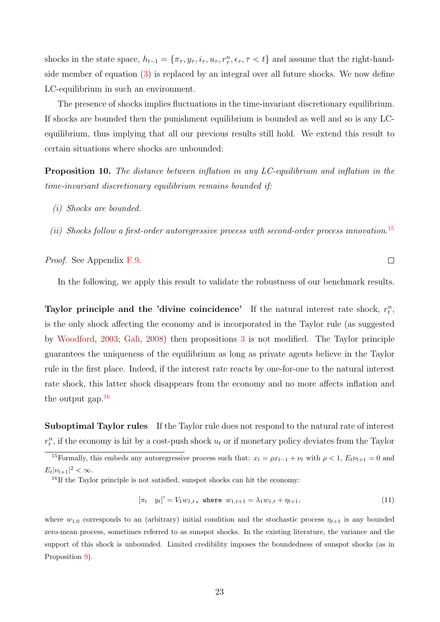shocks in the state space,  $h_{t-1} = \{\pi_{\tau}, y_{\tau}, i_{\tau}, u_{\tau}, r_{\tau}^n, \epsilon_{\tau}, \tau < t\}$  and assume that the right-handside member of equation [\(3\)](#page-10-2) is replaced by an integral over all future shocks. We now define LC-equilibrium in such an environment.

The presence of shocks implies fluctuations in the time-invariant discretionary equilibrium. If shocks are bounded then the punishment equilibrium is bounded as well and so is any LCequilibrium, thus implying that all our previous results still hold. We extend this result to certain situations where shocks are unbounded:

<span id="page-25-2"></span>Proposition 10. The distance between inflation in any LC-equilibrium and inflation in the time-invariant discretionary equilibrium remains bounded if:

- (i) Shocks are bounded.
- (ii) Shocks follow a first-order autoregressive process with second-order process innovation.<sup>[15](#page-25-0)</sup>

Proof. See Appendix [F.9.](#page-45-0)

In the following, we apply this result to validate the robustness of our benchmark results.

 $\Box$ 

Taylor principle and the 'divine coincidence' If the natural interest rate shock,  $r_t^n$ , is the only shock affecting the economy and is incorporated in the Taylor rule (as suggested by [Woodford,](#page-33-1) [2003;](#page-33-1) [Gali,](#page-31-10) [2008\)](#page-31-10) then propositions [3](#page-15-1) is not modified. The Taylor principle guarantees the uniqueness of the equilibrium as long as private agents believe in the Taylor rule in the first place. Indeed, if the interest rate reacts by one-for-one to the natural interest rate shock, this latter shock disappears from the economy and no more affects inflation and the output gap.  $16$ 

Suboptimal Taylor rules If the Taylor rule does not respond to the natural rate of interest  $r_t^n$ , if the economy is hit by a cost-push shock  $u_t$  or if monetary policy deviates from the Taylor

$$
[\pi_t \quad y_t]' = V_1 w_{1,t}, \text{ where } w_{1,t+1} = \lambda_1 w_{1,t} + \eta_{t+1}, \tag{11}
$$

where  $w_{1,0}$  corresponds to an (arbitrary) initial condition and the stochastic process  $\eta_{t+1}$  is any bounded zero-mean process, sometimes referred to as sunspot shocks. In the existing literature, the variance and the support of this shock is unbounded. Limited credibility imposes the boundedness of sunspot shocks (as in Proposition [9\)](#page-23-1).

<span id="page-25-0"></span><sup>&</sup>lt;sup>15</sup>Formally, this embeds any autoregressive process such that:  $x_t = \rho x_{t-1} + \nu_t$  with  $\rho < 1$ ,  $E_t \nu_{t+1} = 0$  and  $E_t|\nu_{t+1}|^2 < \infty.$ 

<span id="page-25-1"></span> $16$ If the Taylor principle is not satisfied, sunspot shocks can hit the economy: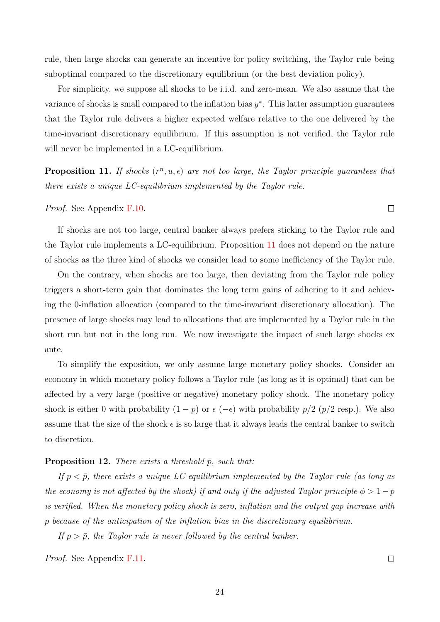rule, then large shocks can generate an incentive for policy switching, the Taylor rule being suboptimal compared to the discretionary equilibrium (or the best deviation policy).

For simplicity, we suppose all shocks to be i.i.d. and zero-mean. We also assume that the variance of shocks is small compared to the inflation bias  $y^*$ . This latter assumption guarantees that the Taylor rule delivers a higher expected welfare relative to the one delivered by the time-invariant discretionary equilibrium. If this assumption is not verified, the Taylor rule will never be implemented in a LC-equilibrium.

<span id="page-26-0"></span>**Proposition 11.** If shocks  $(r^n, u, \epsilon)$  are not too large, the Taylor principle guarantees that there exists a unique LC-equilibrium implemented by the Taylor rule.

Proof. See Appendix [F.10.](#page-46-0)

If shocks are not too large, central banker always prefers sticking to the Taylor rule and the Taylor rule implements a LC-equilibrium. Proposition [11](#page-26-0) does not depend on the nature of shocks as the three kind of shocks we consider lead to some inefficiency of the Taylor rule.

On the contrary, when shocks are too large, then deviating from the Taylor rule policy triggers a short-term gain that dominates the long term gains of adhering to it and achieving the 0-inflation allocation (compared to the time-invariant discretionary allocation). The presence of large shocks may lead to allocations that are implemented by a Taylor rule in the short run but not in the long run. We now investigate the impact of such large shocks ex ante.

To simplify the exposition, we only assume large monetary policy shocks. Consider an economy in which monetary policy follows a Taylor rule (as long as it is optimal) that can be affected by a very large (positive or negative) monetary policy shock. The monetary policy shock is either 0 with probability  $(1 - p)$  or  $\epsilon$   $(-\epsilon)$  with probability  $p/2$   $(p/2$  resp.). We also assume that the size of the shock  $\epsilon$  is so large that it always leads the central banker to switch to discretion.

#### <span id="page-26-1"></span>**Proposition 12.** There exists a threshold  $\bar{p}$ , such that:

If  $p < \bar{p}$ , there exists a unique LC-equilibrium implemented by the Taylor rule (as long as the economy is not affected by the shock) if and only if the adjusted Taylor principle  $\phi > 1-p$ is verified. When the monetary policy shock is zero, inflation and the output gap increase with p because of the anticipation of the inflation bias in the discretionary equilibrium.

If  $p > \bar{p}$ , the Taylor rule is never followed by the central banker.

Proof. See Appendix [F.11.](#page-47-0)

 $\Box$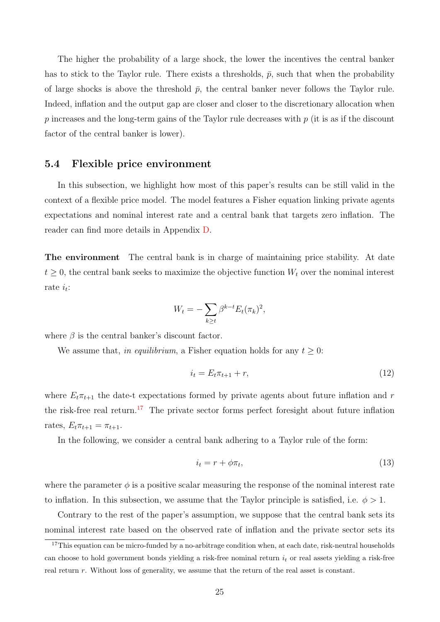The higher the probability of a large shock, the lower the incentives the central banker has to stick to the Taylor rule. There exists a thresholds,  $\bar{p}$ , such that when the probability of large shocks is above the threshold  $\bar{p}$ , the central banker never follows the Taylor rule. Indeed, inflation and the output gap are closer and closer to the discretionary allocation when  $p$  increases and the long-term gains of the Taylor rule decreases with  $p$  (it is as if the discount factor of the central banker is lower).

#### <span id="page-27-0"></span>5.4 Flexible price environment

In this subsection, we highlight how most of this paper's results can be still valid in the context of a flexible price model. The model features a Fisher equation linking private agents expectations and nominal interest rate and a central bank that targets zero inflation. The reader can find more details in Appendix [D.](#page-38-1)

The environment The central bank is in charge of maintaining price stability. At date  $t \geq 0$ , the central bank seeks to maximize the objective function  $W_t$  over the nominal interest rate  $i_t$ :

$$
W_t = -\sum_{k \ge t} \beta^{k-t} E_t(\pi_k)^2,
$$

where  $\beta$  is the central banker's discount factor.

We assume that, in equilibrium, a Fisher equation holds for any  $t \geq 0$ :

<span id="page-27-2"></span>
$$
i_t = E_t \pi_{t+1} + r,\tag{12}
$$

where  $E_t \pi_{t+1}$  the date-t expectations formed by private agents about future inflation and r the risk-free real return.<sup>[17](#page-27-1)</sup> The private sector forms perfect foresight about future inflation rates,  $E_t \pi_{t+1} = \pi_{t+1}$ .

In the following, we consider a central bank adhering to a Taylor rule of the form:

<span id="page-27-3"></span>
$$
i_t = r + \phi \pi_t,\tag{13}
$$

where the parameter  $\phi$  is a positive scalar measuring the response of the nominal interest rate to inflation. In this subsection, we assume that the Taylor principle is satisfied, i.e.  $\phi > 1$ .

Contrary to the rest of the paper's assumption, we suppose that the central bank sets its nominal interest rate based on the observed rate of inflation and the private sector sets its

<span id="page-27-1"></span><sup>&</sup>lt;sup>17</sup>This equation can be micro-funded by a no-arbitrage condition when, at each date, risk-neutral households can choose to hold government bonds yielding a risk-free nominal return  $i_t$  or real assets yielding a risk-free real return r. Without loss of generality, we assume that the return of the real asset is constant.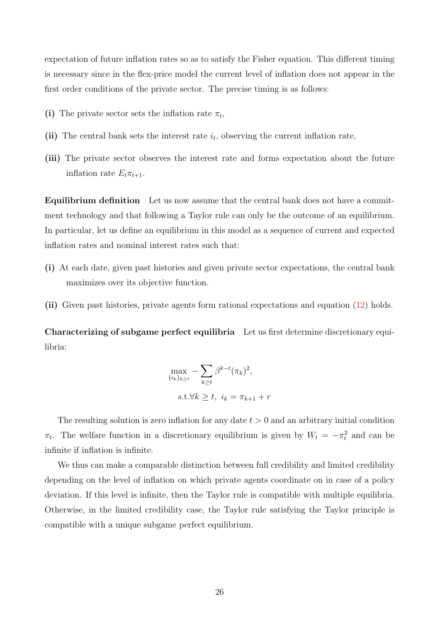expectation of future inflation rates so as to satisfy the Fisher equation. This different timing is necessary since in the flex-price model the current level of inflation does not appear in the first order conditions of the private sector. The precise timing is as follows:

- (i) The private sector sets the inflation rate  $\pi_t$ ,
- (ii) The central bank sets the interest rate  $i_t$ , observing the current inflation rate,
- (iii) The private sector observes the interest rate and forms expectation about the future inflation rate  $E_t \pi_{t+1}$ .

Equilibrium definition Let us now assume that the central bank does not have a commitment technology and that following a Taylor rule can only be the outcome of an equilibrium. In particular, let us define an equilibrium in this model as a sequence of current and expected inflation rates and nominal interest rates such that:

- (i) At each date, given past histories and given private sector expectations, the central bank maximizes over its objective function.
- (ii) Given past histories, private agents form rational expectations and equation [\(12\)](#page-27-2) holds.

Characterizing of subgame perfect equilibria Let us first determine discretionary equilibria:

$$
\max_{\{i_k\}_{k\geq t}} - \sum_{k\geq t} \beta^{k-t} (\pi_k)^2,
$$
  
s.t.  $\forall k \geq t, i_k = \pi_{k+1} + r$ 

The resulting solution is zero inflation for any date  $t > 0$  and an arbitrary initial condition  $\pi_t$ . The welfare function in a discretionary equilibrium is given by  $W_t = -\pi_t^2$  and can be infinite if inflation is infinite.

We thus can make a comparable distinction between full credibility and limited credibility depending on the level of inflation on which private agents coordinate on in case of a policy deviation. If this level is infinite, then the Taylor rule is compatible with multiple equilibria. Otherwise, in the limited credibility case, the Taylor rule satisfying the Taylor principle is compatible with a unique subgame perfect equilibrium.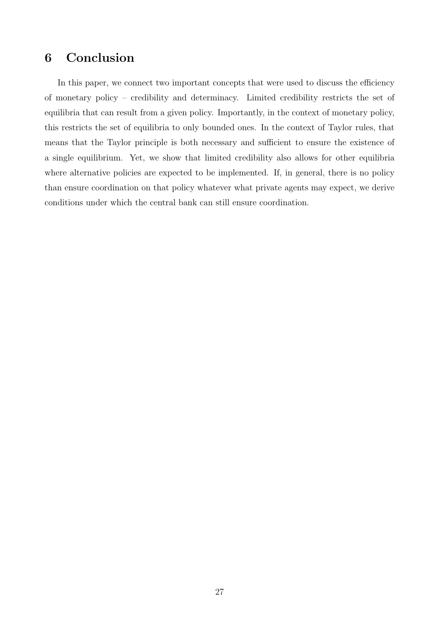## 6 Conclusion

In this paper, we connect two important concepts that were used to discuss the efficiency of monetary policy – credibility and determinacy. Limited credibility restricts the set of equilibria that can result from a given policy. Importantly, in the context of monetary policy, this restricts the set of equilibria to only bounded ones. In the context of Taylor rules, that means that the Taylor principle is both necessary and sufficient to ensure the existence of a single equilibrium. Yet, we show that limited credibility also allows for other equilibria where alternative policies are expected to be implemented. If, in general, there is no policy than ensure coordination on that policy whatever what private agents may expect, we derive conditions under which the central bank can still ensure coordination.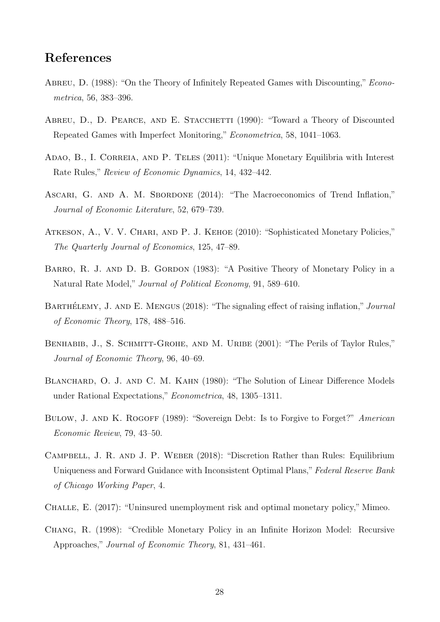### References

- <span id="page-30-7"></span>ABREU, D. (1988): "On the Theory of Infinitely Repeated Games with Discounting," *Econo*metrica, 56, 383–396.
- <span id="page-30-8"></span>ABREU, D., D. PEARCE, AND E. STACCHETTI (1990): "Toward a Theory of Discounted Repeated Games with Imperfect Monitoring," Econometrica, 58, 1041–1063.
- <span id="page-30-1"></span>ADAO, B., I. CORREIA, AND P. TELES (2011): "Unique Monetary Equilibria with Interest Rate Rules," Review of Economic Dynamics, 14, 432–442.
- <span id="page-30-9"></span>ASCARI, G. AND A. M. SBORDONE (2014): "The Macroeconomics of Trend Inflation," Journal of Economic Literature, 52, 679–739.
- <span id="page-30-0"></span>Atkeson, A., V. V. Chari, and P. J. Kehoe (2010): "Sophisticated Monetary Policies," The Quarterly Journal of Economics, 125, 47–89.
- <span id="page-30-3"></span>BARRO, R. J. AND D. B. GORDON (1983): "A Positive Theory of Monetary Policy in a Natural Rate Model," Journal of Political Economy, 91, 589–610.
- <span id="page-30-6"></span>BARTHÉLEMY, J. AND E. MENGUS (2018): "The signaling effect of raising inflation," *Journal* of Economic Theory, 178, 488–516.
- <span id="page-30-12"></span>BENHABIB, J., S. SCHMITT-GROHE, AND M. URIBE (2001): "The Perils of Taylor Rules," Journal of Economic Theory, 96, 40–69.
- <span id="page-30-2"></span>BLANCHARD, O. J. AND C. M. KAHN (1980): "The Solution of Linear Difference Models under Rational Expectations," Econometrica, 48, 1305–1311.
- <span id="page-30-11"></span>Bulow, J. and K. Rogoff (1989): "Sovereign Debt: Is to Forgive to Forget?" American Economic Review, 79, 43–50.
- <span id="page-30-4"></span>Campbell, J. R. and J. P. Weber (2018): "Discretion Rather than Rules: Equilibrium Uniqueness and Forward Guidance with Inconsistent Optimal Plans," Federal Reserve Bank of Chicago Working Paper, 4.
- <span id="page-30-10"></span>Challe, E. (2017): "Uninsured unemployment risk and optimal monetary policy," Mimeo.
- <span id="page-30-5"></span>Chang, R. (1998): "Credible Monetary Policy in an Infinite Horizon Model: Recursive Approaches," Journal of Economic Theory, 81, 431–461.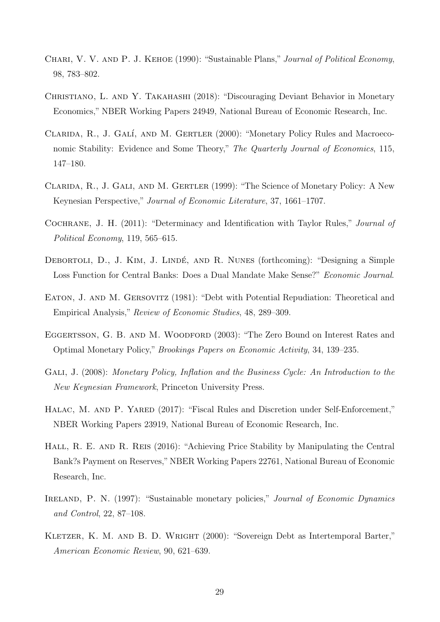- <span id="page-31-11"></span>CHARI, V. V. AND P. J. KEHOE (1990): "Sustainable Plans," Journal of Political Economy, 98, 783–802.
- <span id="page-31-3"></span>Christiano, L. and Y. Takahashi (2018): "Discouraging Deviant Behavior in Monetary Economics," NBER Working Papers 24949, National Bureau of Economic Research, Inc.
- <span id="page-31-5"></span>CLARIDA, R., J. GALÍ, AND M. GERTLER (2000): "Monetary Policy Rules and Macroeconomic Stability: Evidence and Some Theory," The Quarterly Journal of Economics, 115, 147–180.
- <span id="page-31-1"></span>Clarida, R., J. Gali, and M. Gertler (1999): "The Science of Monetary Policy: A New Keynesian Perspective," Journal of Economic Literature, 37, 1661–1707.
- <span id="page-31-0"></span>Cochrane, J. H. (2011): "Determinacy and Identification with Taylor Rules," Journal of Political Economy, 119, 565–615.
- <span id="page-31-7"></span>DEBORTOLI, D., J. KIM, J. LINDÉ, AND R. NUNES (forthcoming): "Designing a Simple Loss Function for Central Banks: Does a Dual Mandate Make Sense?" Economic Journal.
- <span id="page-31-8"></span>EATON, J. AND M. GERSOVITZ (1981): "Debt with Potential Repudiation: Theoretical and Empirical Analysis," Review of Economic Studies, 48, 289–309.
- <span id="page-31-12"></span>EGGERTSSON, G. B. AND M. WOODFORD (2003): "The Zero Bound on Interest Rates and Optimal Monetary Policy," Brookings Papers on Economic Activity, 34, 139–235.
- <span id="page-31-10"></span>Gali, J. (2008): Monetary Policy, Inflation and the Business Cycle: An Introduction to the New Keynesian Framework, Princeton University Press.
- <span id="page-31-4"></span>HALAC, M. AND P. YARED (2017): "Fiscal Rules and Discretion under Self-Enforcement," NBER Working Papers 23919, National Bureau of Economic Research, Inc.
- <span id="page-31-2"></span>HALL, R. E. AND R. REIS (2016): "Achieving Price Stability by Manipulating the Central Bank?s Payment on Reserves," NBER Working Papers 22761, National Bureau of Economic Research, Inc.
- <span id="page-31-6"></span>IRELAND, P. N. (1997): "Sustainable monetary policies," *Journal of Economic Dynamics* and Control, 22, 87–108.
- <span id="page-31-9"></span>Kletzer, K. M. and B. D. Wright (2000): "Sovereign Debt as Intertemporal Barter," American Economic Review, 90, 621–639.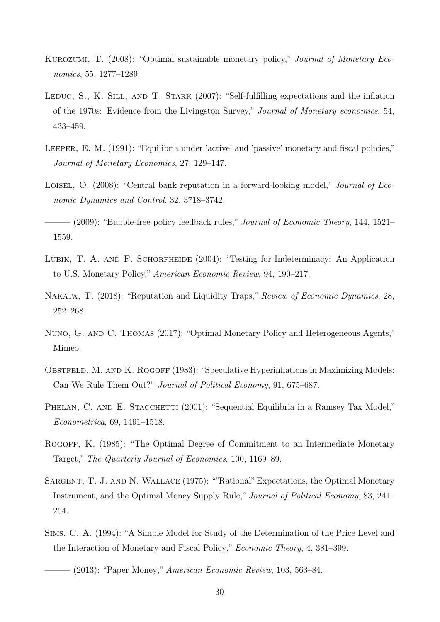- <span id="page-32-3"></span>Kurozumi, T. (2008): "Optimal sustainable monetary policy," Journal of Monetary Economics, 55, 1277–1289.
- <span id="page-32-4"></span>LEDUC, S., K. SILL, AND T. STARK (2007): "Self-fulfilling expectations and the inflation of the 1970s: Evidence from the Livingston Survey," Journal of Monetary economics, 54, 433–459.
- <span id="page-32-1"></span>Leeper, E. M. (1991): "Equilibria under 'active' and 'passive' monetary and fiscal policies," Journal of Monetary Economics, 27, 129–147.
- <span id="page-32-2"></span>LOISEL, O. (2008): "Central bank reputation in a forward-looking model," *Journal of Eco*nomic Dynamics and Control, 32, 3718–3742.
- <span id="page-32-8"></span> $(2009)$ : "Bubble-free policy feedback rules," *Journal of Economic Theory*, 144, 1521– 1559.
- <span id="page-32-12"></span>Lubik, T. A. and F. Schorfheide (2004): "Testing for Indeterminacy: An Application to U.S. Monetary Policy," American Economic Review, 94, 190–217.
- <span id="page-32-9"></span>Nakata, T. (2018): "Reputation and Liquidity Traps," Review of Economic Dynamics, 28, 252–268.
- <span id="page-32-11"></span>Nuno, G. and C. Thomas (2017): "Optimal Monetary Policy and Heterogeneous Agents," Mimeo.
- <span id="page-32-7"></span>OBSTFELD, M. AND K. ROGOFF (1983): "Speculative Hyperinflations in Maximizing Models: Can We Rule Them Out?" Journal of Political Economy, 91, 675–687.
- <span id="page-32-10"></span>PHELAN, C. AND E. STACCHETTI (2001): "Sequential Equilibria in a Ramsey Tax Model," Econometrica, 69, 1491–1518.
- <span id="page-32-13"></span>ROGOFF, K. (1985): "The Optimal Degree of Commitment to an Intermediate Monetary Target," The Quarterly Journal of Economics, 100, 1169–89.
- <span id="page-32-0"></span>SARGENT, T. J. AND N. WALLACE (1975): ""Rational" Expectations, the Optimal Monetary Instrument, and the Optimal Money Supply Rule," Journal of Political Economy, 83, 241– 254.
- <span id="page-32-6"></span><span id="page-32-5"></span>Sims, C. A. (1994): "A Simple Model for Study of the Determination of the Price Level and the Interaction of Monetary and Fiscal Policy," Economic Theory, 4, 381–399.
	- (2013): "Paper Money," American Economic Review, 103, 563–84.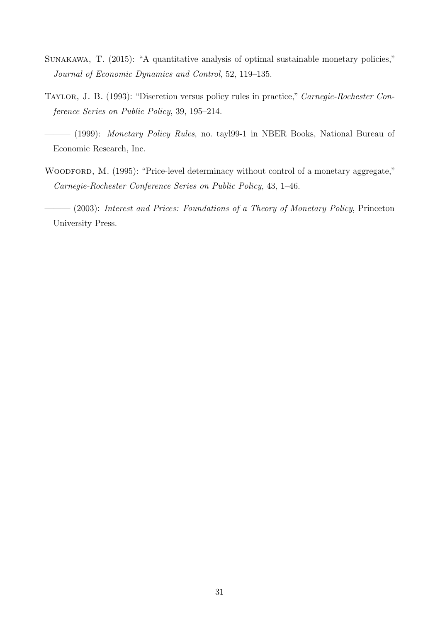- <span id="page-33-3"></span>Sunakawa, T. (2015): "A quantitative analysis of optimal sustainable monetary policies," Journal of Economic Dynamics and Control, 52, 119–135.
- <span id="page-33-4"></span>Taylor, J. B. (1993): "Discretion versus policy rules in practice," Carnegie-Rochester Conference Series on Public Policy, 39, 195–214.

<span id="page-33-0"></span>— (1999): Monetary Policy Rules, no. tayl99-1 in NBER Books, National Bureau of Economic Research, Inc.

<span id="page-33-2"></span>WOODFORD, M. (1995): "Price-level determinacy without control of a monetary aggregate," Carnegie-Rochester Conference Series on Public Policy, 43, 1–46.

<span id="page-33-1"></span> $-$  (2003): Interest and Prices: Foundations of a Theory of Monetary Policy, Princeton University Press.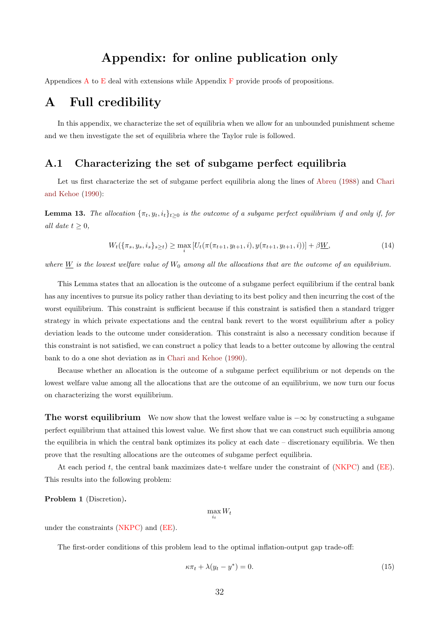### Appendix: for online publication only

<span id="page-34-0"></span>[A](#page-34-0)ppendices A to [E](#page-40-0) deal with extensions while Appendix  $\bf{F}$  $\bf{F}$  $\bf{F}$  provide proofs of propositions.

## A Full credibility

In this appendix, we characterize the set of equilibria when we allow for an unbounded punishment scheme and we then investigate the set of equilibria where the Taylor rule is followed.

### A.1 Characterizing the set of subgame perfect equilibria

Let us first characterize the set of subgame perfect equilibria along the lines of [Abreu](#page-30-7) [\(1988\)](#page-30-7) and [Chari](#page-31-11) [and Kehoe](#page-31-11) [\(1990\)](#page-31-11):

**Lemma 13.** The allocation  $\{\pi_t, y_t, i_t\}_{t>0}$  is the outcome of a subgame perfect equilibrium if and only if, for all date  $t > 0$ ,

<span id="page-34-3"></span>
$$
W_t(\{\pi_s, y_s, i_s\}_{s\geq t}) \geq \max_i \left[U_t(\pi(\pi_{t+1}, y_{t+1}, i), y(\pi_{t+1}, y_{t+1}, i))\right] + \beta \underline{W},\tag{14}
$$

where W is the lowest welfare value of  $W_0$  among all the allocations that are the outcome of an equilibrium.

This Lemma states that an allocation is the outcome of a subgame perfect equilibrium if the central bank has any incentives to pursue its policy rather than deviating to its best policy and then incurring the cost of the worst equilibrium. This constraint is sufficient because if this constraint is satisfied then a standard trigger strategy in which private expectations and the central bank revert to the worst equilibrium after a policy deviation leads to the outcome under consideration. This constraint is also a necessary condition because if this constraint is not satisfied, we can construct a policy that leads to a better outcome by allowing the central bank to do a one shot deviation as in [Chari and Kehoe](#page-31-11) [\(1990\)](#page-31-11).

Because whether an allocation is the outcome of a subgame perfect equilibrium or not depends on the lowest welfare value among all the allocations that are the outcome of an equilibrium, we now turn our focus on characterizing the worst equilibrium.

**The worst equilibrium** We now show that the lowest welfare value is  $-\infty$  by constructing a subgame perfect equilibrium that attained this lowest value. We first show that we can construct such equilibria among the equilibria in which the central bank optimizes its policy at each date – discretionary equilibria. We then prove that the resulting allocations are the outcomes of subgame perfect equilibria.

At each period t, the central bank maximizes date-t welfare under the constraint of [\(NKPC\)](#page-8-1) and [\(EE\)](#page-8-3). This results into the following problem:

<span id="page-34-1"></span>Problem 1 (Discretion).

<span id="page-34-2"></span> $\max_{i_t} W_t$ 

under the constraints [\(NKPC\)](#page-8-1) and [\(EE\)](#page-8-3).

The first-order conditions of this problem lead to the optimal inflation-output gap trade-off:

$$
\kappa \pi_t + \lambda (y_t - y^*) = 0. \tag{15}
$$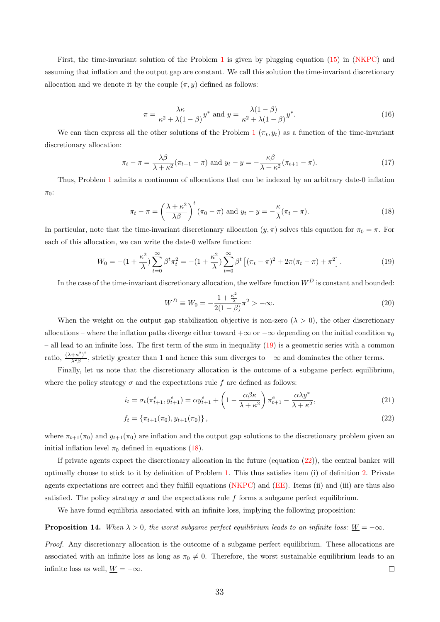First, the time-invariant solution of the Problem [1](#page-34-1) is given by plugging equation [\(15\)](#page-34-2) in [\(NKPC\)](#page-8-1) and assuming that inflation and the output gap are constant. We call this solution the time-invariant discretionary allocation and we denote it by the couple  $(\pi, y)$  defined as follows:

$$
\pi = \frac{\lambda \kappa}{\kappa^2 + \lambda (1 - \beta)} y^* \text{ and } y = \frac{\lambda (1 - \beta)}{\kappa^2 + \lambda (1 - \beta)} y^*.
$$
 (16)

We can then express all the other solutions of the Problem [1](#page-34-1)  $(\pi_t, y_t)$  as a function of the time-invariant discretionary allocation:

$$
\pi_t - \pi = \frac{\lambda \beta}{\lambda + \kappa^2} (\pi_{t+1} - \pi) \text{ and } y_t - y = -\frac{\kappa \beta}{\lambda + \kappa^2} (\pi_{t+1} - \pi). \tag{17}
$$

Thus, Problem [1](#page-34-1) admits a continuum of allocations that can be indexed by an arbitrary date-0 inflation  $\pi_0$ :

$$
\pi_t - \pi = \left(\frac{\lambda + \kappa^2}{\lambda \beta}\right)^t (\pi_0 - \pi) \text{ and } y_t - y = -\frac{\kappa}{\lambda} (\pi_t - \pi).
$$
 (18)

In particular, note that the time-invariant discretionary allocation  $(y, \pi)$  solves this equation for  $\pi_0 = \pi$ . For each of this allocation, we can write the date-0 welfare function:

$$
W_0 = -(1 + \frac{\kappa^2}{\lambda}) \sum_{t=0}^{\infty} \beta^t \pi_t^2 = -(1 + \frac{\kappa^2}{\lambda}) \sum_{t=0}^{\infty} \beta^t \left[ (\pi_t - \pi)^2 + 2\pi (\pi_t - \pi) + \pi^2 \right].
$$
 (19)

In the case of the time-invariant discretionary allocation, the welfare function  $W^D$  is constant and bounded:

<span id="page-35-2"></span><span id="page-35-1"></span><span id="page-35-0"></span>
$$
W^{D} \equiv W_{0} = -\frac{1 + \frac{\kappa^{2}}{\lambda}}{2(1 - \beta)}\pi^{2} > -\infty.
$$
 (20)

When the weight on the output gap stabilization objective is non-zero  $(\lambda > 0)$ , the other discretionary allocations – where the inflation paths diverge either toward  $+\infty$  or  $-\infty$  depending on the initial condition  $\pi_0$  $-$  all lead to an infinite loss. The first term of the sum in inequality  $(19)$  is a geometric series with a common ratio,  $\frac{(\lambda+\kappa^2)^2}{\lambda^2}$  $\frac{+\kappa}{\lambda^2 \beta}$ , strictly greater than 1 and hence this sum diverges to  $-\infty$  and dominates the other terms.

Finally, let us note that the discretionary allocation is the outcome of a subgame perfect equilibrium, where the policy strategy  $\sigma$  and the expectations rule f are defined as follows:

$$
i_t = \sigma_t(\pi_{t+1}^e, y_{t+1}^e) = \alpha y_{t+1}^e + \left(1 - \frac{\alpha \beta \kappa}{\lambda + \kappa^2}\right) \pi_{t+1}^e - \frac{\alpha \lambda y^*}{\lambda + \kappa^2},\tag{21}
$$

$$
f_t = \{ \pi_{t+1}(\pi_0), y_{t+1}(\pi_0) \}, \tag{22}
$$

where  $\pi_{t+1}(\pi_0)$  and  $y_{t+1}(\pi_0)$  are inflation and the output gap solutions to the discretionary problem given an initial inflation level  $\pi_0$  defined in equations [\(18\)](#page-35-1).

If private agents expect the discretionary allocation in the future (equation [\(22\)](#page-35-2)), the central banker will optimally choose to stick to it by definition of Problem [1.](#page-34-1) This thus satisfies item (i) of definition [2.](#page-10-3) Private agents expectations are correct and they fulfill equations [\(NKPC\)](#page-8-1) and [\(EE\)](#page-8-3). Items (ii) and (iii) are thus also satisfied. The policy strategy  $\sigma$  and the expectations rule f forms a subgame perfect equilibrium.

We have found equilibria associated with an infinite loss, implying the following proposition:

#### <span id="page-35-3"></span>**Proposition 14.** When  $\lambda > 0$ , the worst subgame perfect equilibrium leads to an infinite loss:  $\underline{W} = -\infty$ .

Proof. Any discretionary allocation is the outcome of a subgame perfect equilibrium. These allocations are associated with an infinite loss as long as  $\pi_0 \neq 0$ . Therefore, the worst sustainable equilibrium leads to an infinite loss as well,  $\underline{W} = -\infty$ .  $\Box$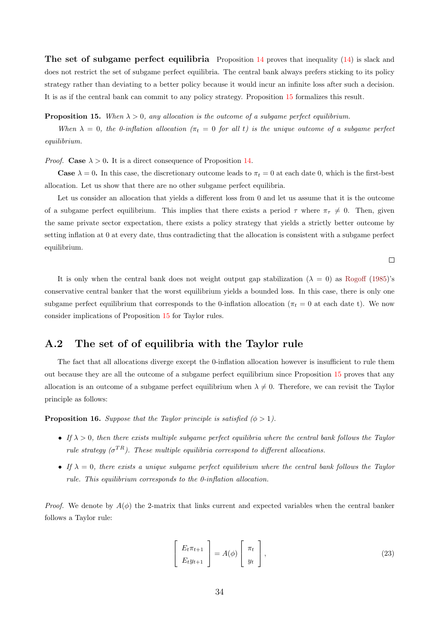The set of subgame perfect equilibria Proposition  $14$  proves that inequality  $(14)$  is slack and does not restrict the set of subgame perfect equilibria. The central bank always prefers sticking to its policy strategy rather than deviating to a better policy because it would incur an infinite loss after such a decision. It is as if the central bank can commit to any policy strategy. Proposition [15](#page-36-0) formalizes this result.

#### <span id="page-36-0"></span>**Proposition 15.** When  $\lambda > 0$ , any allocation is the outcome of a subgame perfect equilibrium.

When  $\lambda = 0$ , the 0-inflation allocation  $(\pi_t = 0$  for all t) is the unique outcome of a subgame perfect equilibrium.

*Proof.* Case  $\lambda > 0$ . It is a direct consequence of Proposition [14.](#page-35-3)

**Case**  $\lambda = 0$ . In this case, the discretionary outcome leads to  $\pi_t = 0$  at each date 0, which is the first-best allocation. Let us show that there are no other subgame perfect equilibria.

Let us consider an allocation that yields a different loss from 0 and let us assume that it is the outcome of a subgame perfect equilibrium. This implies that there exists a period  $\tau$  where  $\pi_{\tau} \neq 0$ . Then, given the same private sector expectation, there exists a policy strategy that yields a strictly better outcome by setting inflation at 0 at every date, thus contradicting that the allocation is consistent with a subgame perfect equilibrium.

 $\Box$ 

It is only when the central bank does not weight output gap stabilization  $(\lambda = 0)$  as [Rogoff](#page-32-13) [\(1985\)](#page-32-13)'s conservative central banker that the worst equilibrium yields a bounded loss. In this case, there is only one subgame perfect equilibrium that corresponds to the 0-inflation allocation ( $\pi_t = 0$  at each date t). We now consider implications of Proposition [15](#page-36-0) for Taylor rules.

#### A.2 The set of of equilibria with the Taylor rule

The fact that all allocations diverge except the 0-inflation allocation however is insufficient to rule them out because they are all the outcome of a subgame perfect equilibrium since Proposition [15](#page-36-0) proves that any allocation is an outcome of a subgame perfect equilibrium when  $\lambda \neq 0$ . Therefore, we can revisit the Taylor principle as follows:

**Proposition 16.** Suppose that the Taylor principle is satisfied  $(\phi > 1)$ .

- If  $\lambda > 0$ , then there exists multiple subgame perfect equilibria where the central bank follows the Taylor rule strategy ( $\sigma^{TR}$ ). These multiple equilibria correspond to different allocations.
- If  $\lambda = 0$ , there exists a unique subgame perfect equilibrium where the central bank follows the Taylor rule. This equilibrium corresponds to the 0-inflation allocation.

*Proof.* We denote by  $A(\phi)$  the 2-matrix that links current and expected variables when the central banker follows a Taylor rule:

$$
\left[\begin{array}{c} E_t \pi_{t+1} \\ E_t y_{t+1} \end{array}\right] = A(\phi) \left[\begin{array}{c} \pi_t \\ y_t \end{array}\right],
$$
\n(23)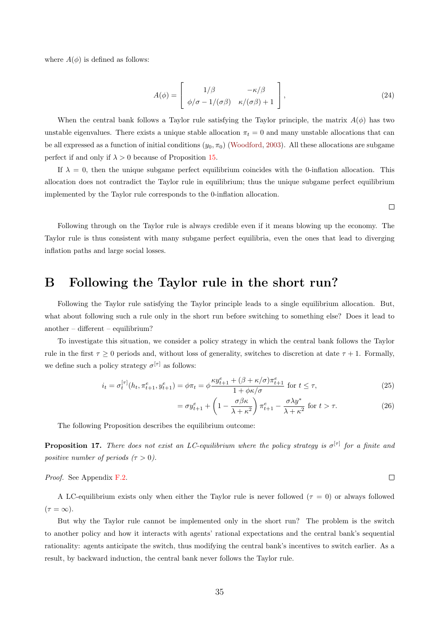where  $A(\phi)$  is defined as follows:

$$
A(\phi) = \begin{bmatrix} 1/\beta & -\kappa/\beta \\ \phi/\sigma - 1/(\sigma\beta) & \kappa/(\sigma\beta) + 1 \end{bmatrix},
$$
\n(24)

When the central bank follows a Taylor rule satisfying the Taylor principle, the matrix  $A(\phi)$  has two unstable eigenvalues. There exists a unique stable allocation  $\pi_t = 0$  and many unstable allocations that can be all expressed as a function of initial conditions  $(y_0, \pi_0)$  [\(Woodford,](#page-33-1) [2003\)](#page-33-1). All these allocations are subgame perfect if and only if  $\lambda > 0$  because of Proposition [15.](#page-36-0)

If  $\lambda = 0$ , then the unique subgame perfect equilibrium coincides with the 0-inflation allocation. This allocation does not contradict the Taylor rule in equilibrium; thus the unique subgame perfect equilibrium implemented by the Taylor rule corresponds to the 0-inflation allocation.

<span id="page-37-1"></span> $\Box$ 

 $\Box$ 

Following through on the Taylor rule is always credible even if it means blowing up the economy. The Taylor rule is thus consistent with many subgame perfect equilibria, even the ones that lead to diverging inflation paths and large social losses.

### <span id="page-37-0"></span>B Following the Taylor rule in the short run?

Following the Taylor rule satisfying the Taylor principle leads to a single equilibrium allocation. But, what about following such a rule only in the short run before switching to something else? Does it lead to another – different – equilibrium?

To investigate this situation, we consider a policy strategy in which the central bank follows the Taylor rule in the first  $\tau \geq 0$  periods and, without loss of generality, switches to discretion at date  $\tau + 1$ . Formally, we define such a policy strategy  $\sigma^{[\tau]}$  as follows:

$$
i_t = \sigma_t^{[\tau]}(h_t, \pi_{t+1}^e, y_{t+1}^e) = \phi \pi_t = \phi \frac{\kappa y_{t+1}^e + (\beta + \kappa/\sigma)\pi_{t+1}^e}{1 + \phi \kappa/\sigma} \text{ for } t \le \tau,
$$
\n(25)

$$
= \sigma y_{t+1}^e + \left(1 - \frac{\sigma \beta \kappa}{\lambda + \kappa^2}\right) \pi_{t+1}^e - \frac{\sigma \lambda y^*}{\lambda + \kappa^2} \text{ for } t > \tau.
$$
 (26)

The following Proposition describes the equilibrium outcome:

**Proposition 17.** There does not exist an LC-equilibrium where the policy strategy is  $\sigma^{[\tau]}$  for a finite and positive number of periods  $(\tau > 0)$ .

Proof. See Appendix [F.2.](#page-42-1)

A LC-equilibrium exists only when either the Taylor rule is never followed ( $\tau = 0$ ) or always followed  $(\tau = \infty).$ 

But why the Taylor rule cannot be implemented only in the short run? The problem is the switch to another policy and how it interacts with agents' rational expectations and the central bank's sequential rationality: agents anticipate the switch, thus modifying the central bank's incentives to switch earlier. As a result, by backward induction, the central bank never follows the Taylor rule.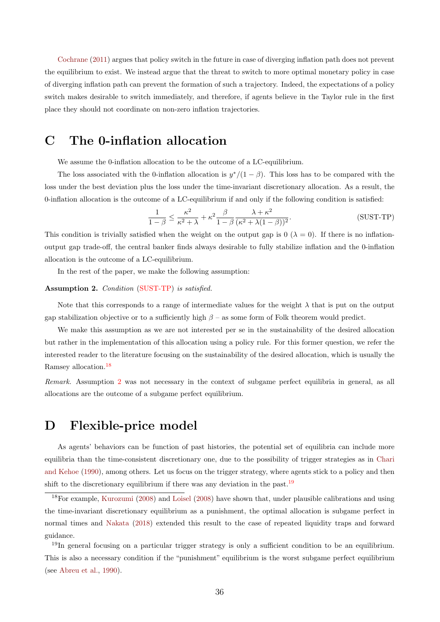[Cochrane](#page-31-0) [\(2011\)](#page-31-0) argues that policy switch in the future in case of diverging inflation path does not prevent the equilibrium to exist. We instead argue that the threat to switch to more optimal monetary policy in case of diverging inflation path can prevent the formation of such a trajectory. Indeed, the expectations of a policy switch makes desirable to switch immediately, and therefore, if agents believe in the Taylor rule in the first place they should not coordinate on non-zero inflation trajectories.

### <span id="page-38-0"></span>C The 0-inflation allocation

We assume the 0-inflation allocation to be the outcome of a LC-equilibrium.

The loss associated with the 0-inflation allocation is  $y^*/(1-\beta)$ . This loss has to be compared with the loss under the best deviation plus the loss under the time-invariant discretionary allocation. As a result, the 0-inflation allocation is the outcome of a LC-equilibrium if and only if the following condition is satisfied:

<span id="page-38-2"></span>
$$
\frac{1}{1-\beta} \le \frac{\kappa^2}{\kappa^2 + \lambda} + \kappa^2 \frac{\beta}{1-\beta} \frac{\lambda + \kappa^2}{(\kappa^2 + \lambda(1-\beta))^2}.
$$
 (SUST-TP)

This condition is trivially satisfied when the weight on the output gap is 0 ( $\lambda = 0$ ). If there is no inflationoutput gap trade-off, the central banker finds always desirable to fully stabilize inflation and the 0-inflation allocation is the outcome of a LC-equilibrium.

In the rest of the paper, we make the following assumption:

#### <span id="page-38-4"></span>Assumption 2. Condition [\(SUST-TP\)](#page-38-2) is satisfied.

Note that this corresponds to a range of intermediate values for the weight  $\lambda$  that is put on the output gap stabilization objective or to a sufficiently high  $\beta$  – as some form of Folk theorem would predict.

We make this assumption as we are not interested per se in the sustainability of the desired allocation but rather in the implementation of this allocation using a policy rule. For this former question, we refer the interested reader to the literature focusing on the sustainability of the desired allocation, which is usually the Ramsey allocation.[18](#page-38-3)

Remark. Assumption [2](#page-38-4) was not necessary in the context of subgame perfect equilibria in general, as all allocations are the outcome of a subgame perfect equilibrium.

# <span id="page-38-1"></span>D Flexible-price model

As agents' behaviors can be function of past histories, the potential set of equilibria can include more equilibria than the time-consistent discretionary one, due to the possibility of trigger strategies as in [Chari](#page-31-11) [and Kehoe](#page-31-11) [\(1990\)](#page-31-11), among others. Let us focus on the trigger strategy, where agents stick to a policy and then shift to the discretionary equilibrium if there was any deviation in the past.<sup>[19](#page-38-5)</sup>

<span id="page-38-3"></span><sup>18</sup>For example, [Kurozumi](#page-32-3) [\(2008\)](#page-32-3) and [Loisel](#page-32-2) [\(2008\)](#page-32-2) have shown that, under plausible calibrations and using the time-invariant discretionary equilibrium as a punishment, the optimal allocation is subgame perfect in normal times and [Nakata](#page-32-9) [\(2018\)](#page-32-9) extended this result to the case of repeated liquidity traps and forward guidance.

<span id="page-38-5"></span><sup>&</sup>lt;sup>19</sup>In general focusing on a particular trigger strategy is only a sufficient condition to be an equilibrium. This is also a necessary condition if the "punishment" equilibrium is the worst subgame perfect equilibrium (see [Abreu et al.,](#page-30-8) [1990\)](#page-30-8).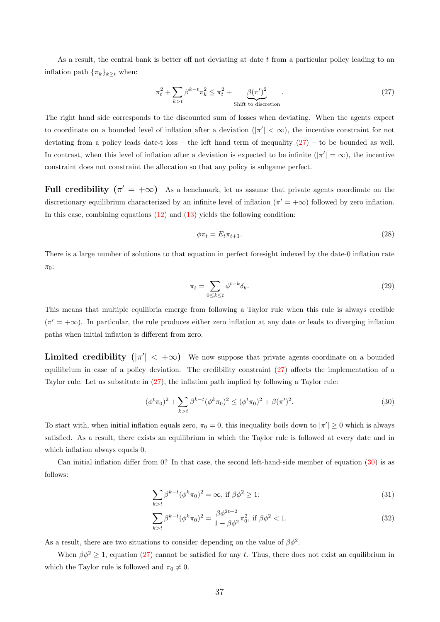As a result, the central bank is better off not deviating at date  $t$  from a particular policy leading to an inflation path  $\{\pi_k\}_{k>t}$  when:

<span id="page-39-0"></span>
$$
\pi_t^2 + \sum_{k>t} \beta^{k-t} \pi_k^2 \le \pi_t^2 + \underbrace{\beta(\pi')^2}_{\text{Shift to discretion}}.
$$
\n(27)

The right hand side corresponds to the discounted sum of losses when deviating. When the agents expect to coordinate on a bounded level of inflation after a deviation  $(|\pi'| < \infty)$ , the incentive constraint for not deviating from a policy leads date-t loss – the left hand term of inequality  $(27)$  – to be bounded as well. In contrast, when this level of inflation after a deviation is expected to be infinite  $(|\pi'| = \infty)$ , the incentive constraint does not constraint the allocation so that any policy is subgame perfect.

Full credibility  $(\pi' = +\infty)$  As a benchmark, let us assume that private agents coordinate on the discretionary equilibrium characterized by an infinite level of inflation  $(\pi' = +\infty)$  followed by zero inflation. In this case, combining equations  $(12)$  and  $(13)$  yields the following condition:

$$
\phi \pi_t = E_t \pi_{t+1}.\tag{28}
$$

There is a large number of solutions to that equation in perfect foresight indexed by the date-0 inflation rate  $\pi_0$ :

<span id="page-39-1"></span>
$$
\pi_t = \sum_{0 \le k \le t} \phi^{t-k} \delta_k.
$$
\n(29)

This means that multiple equilibria emerge from following a Taylor rule when this rule is always credible  $(\pi' = +\infty)$ . In particular, the rule produces either zero inflation at any date or leads to diverging inflation paths when initial inflation is different from zero.

**Limited credibility**  $(|\pi'| < +\infty)$  We now suppose that private agents coordinate on a bounded equilibrium in case of a policy deviation. The credibility constraint [\(27\)](#page-39-0) affects the implementation of a Taylor rule. Let us substitute in [\(27\)](#page-39-0), the inflation path implied by following a Taylor rule:

$$
(\phi^t \pi_0)^2 + \sum_{k > t} \beta^{k-t} (\phi^k \pi_0)^2 \le (\phi^t \pi_0)^2 + \beta (\pi')^2.
$$
 (30)

To start with, when initial inflation equals zero,  $\pi_0 = 0$ , this inequality boils down to  $|\pi'| \ge 0$  which is always satisfied. As a result, there exists an equilibrium in which the Taylor rule is followed at every date and in which inflation always equals 0.

Can initial inflation differ from 0? In that case, the second left-hand-side member of equation [\(30\)](#page-39-1) is as follows:

$$
\sum_{k>t} \beta^{k-t} (\phi^k \pi_0)^2 = \infty, \text{ if } \beta \phi^2 \ge 1; \tag{31}
$$

$$
\sum_{k>t} \beta^{k-t} (\phi^k \pi_0)^2 = \frac{\beta \phi^{2t+2}}{1 - \beta \phi^2} \pi_0^2, \text{ if } \beta \phi^2 < 1. \tag{32}
$$

As a result, there are two situations to consider depending on the value of  $\beta \phi^2$ .

When  $\beta\phi^2 \geq 1$ , equation [\(27\)](#page-39-0) cannot be satisfied for any t. Thus, there does not exist an equilibrium in which the Taylor rule is followed and  $\pi_0 \neq 0$ .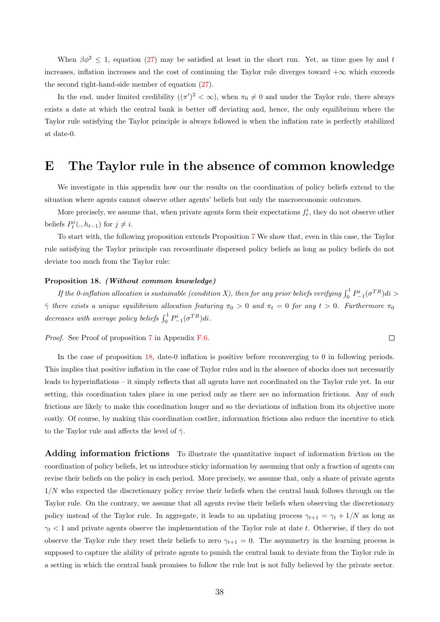When  $\beta\phi^2 \leq 1$ , equation [\(27\)](#page-39-0) may be satisfied at least in the short run. Yet, as time goes by and t increases, inflation increases and the cost of continuing the Taylor rule diverges toward  $+\infty$  which exceeds the second right-hand-side member of equation [\(27\)](#page-39-0).

In the end, under limited credibility  $((\pi')^2 < \infty)$ , when  $\pi_0 \neq 0$  and under the Taylor rule, there always exists a date at which the central bank is better off deviating and, hence, the only equilibrium where the Taylor rule satisfying the Taylor principle is always followed is when the inflation rate is perfectly stabilized at date-0.

### <span id="page-40-0"></span>E The Taylor rule in the absence of common knowledge

We investigate in this appendix how our the results on the coordination of policy beliefs extend to the situation where agents cannot observe other agents' beliefs but only the macroeconomic outcomes.

More precisely, we assume that, when private agents form their expectations  $f_t^i$ , they do not observe other beliefs  $P_t^j(., h_{t-1})$  for  $j \neq i$ .

To start with, the following proposition extends Proposition [7](#page-20-0) We show that, even in this case, the Taylor rule satisfying the Taylor principle can recoordinate dispersed policy beliefs as long as policy beliefs do not deviate too much from the Taylor rule:

#### <span id="page-40-1"></span>Proposition 18. (Without common knowledge)

*If the 0-inflation allocation is sustainable (condition X), then for any prior beliefs verifying*  $\int_0^1 P_{-1}^i (\sigma^{TR})di >$  $\bar{\gamma}$  there exists a unique equilibrium allocation featuring  $\pi_0 > 0$  and  $\pi_t = 0$  for any  $t > 0$ . Furthermore  $\pi_0$ decreases with average policy beliefs  $\int_0^1 P_{-1}^i(\sigma^{TR})di$ .

 $\Box$ 

Proof. See Proof of proposition [7](#page-20-0) in Appendix [F.6.](#page-44-0)

In the case of proposition [18,](#page-40-1) date-0 inflation is positive before reconverging to 0 in following periods. This implies that positive inflation in the case of Taylor rules and in the absence of shocks does not necessarily leads to hyperinflations – it simply reflects that all agents have not coordinated on the Taylor rule yet. In our setting, this coordination takes place in one period only as there are no information frictions. Any of such frictions are likely to make this coordination longer and so the deviations of inflation from its objective more costly. Of course, by making this coordination costlier, information frictions also reduce the incentive to stick to the Taylor rule and affects the level of  $\bar{\gamma}$ .

Adding information frictions To illustrate the quantitative impact of information friction on the coordination of policy beliefs, let us introduce sticky information by assuming that only a fraction of agents can revise their beliefs on the policy in each period. More precisely, we assume that, only a share of private agents  $1/N$  who expected the discretionary policy revise their beliefs when the central bank follows through on the Taylor rule. On the contrary, we assume that all agents revise their beliefs when observing the discretionary policy instead of the Taylor rule. In aggregate, it leads to an updating process  $\gamma_{t+1} = \gamma_t + 1/N$  as long as  $\gamma_t$  < 1 and private agents observe the implementation of the Taylor rule at date t. Otherwise, if they do not observe the Taylor rule they reset their beliefs to zero  $\gamma_{t+1} = 0$ . The asymmetry in the learning process is supposed to capture the ability of private agents to punish the central bank to deviate from the Taylor rule in a setting in which the central bank promises to follow the rule but is not fully believed by the private sector.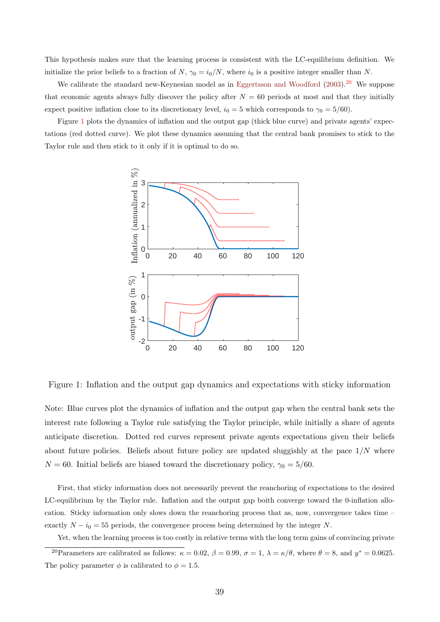This hypothesis makes sure that the learning process is consistent with the LC-equilibrium definition. We initialize the prior beliefs to a fraction of N,  $\gamma_0 = i_0/N$ , where  $i_0$  is a positive integer smaller than N.

We calibrate the standard new-Keynesian model as in [Eggertsson and Woodford](#page-31-12) [\(2003\)](#page-31-12).<sup>[20](#page-41-0)</sup> We suppose that economic agents always fully discover the policy after  $N = 60$  periods at most and that they initially expect positive inflation close to its discretionary level,  $i_0 = 5$  which corresponds to  $\gamma_0 = 5/60$ .

<span id="page-41-1"></span>Figure [1](#page-41-1) plots the dynamics of inflation and the output gap (thick blue curve) and private agents' expectations (red dotted curve). We plot these dynamics assuming that the central bank promises to stick to the Taylor rule and then stick to it only if it is optimal to do so.



Figure 1: Inflation and the output gap dynamics and expectations with sticky information

Note: Blue curves plot the dynamics of inflation and the output gap when the central bank sets the interest rate following a Taylor rule satisfying the Taylor principle, while initially a share of agents anticipate discretion. Dotted red curves represent private agents expectations given their beliefs about future policies. Beliefs about future policy are updated sluggishly at the pace  $1/N$  where  $N = 60$ . Initial beliefs are biased toward the discretionary policy,  $\gamma_0 = 5/60$ .

First, that sticky information does not necessarily prevent the reanchoring of expectations to the desired LC-equilibrium by the Taylor rule. Inflation and the output gap boith converge toward the 0-inflation allocation. Sticky information only slows down the reanchoring process that as, now, convergence takes time – exactly  $N - i_0 = 55$  periods, the convergence process being determined by the integer N.

<span id="page-41-0"></span>Yet, when the learning process is too costly in relative terms with the long term gains of convincing private <sup>20</sup>Parameters are calibrated as follows:  $\kappa = 0.02$ ,  $\beta = 0.99$ ,  $\sigma = 1$ ,  $\lambda = \kappa/\theta$ , where  $\theta = 8$ , and  $y^* = 0.0625$ . The policy parameter  $\phi$  is calibrated to  $\phi = 1.5$ .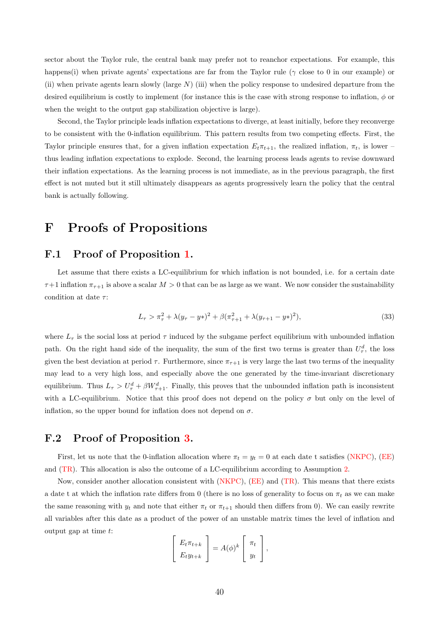sector about the Taylor rule, the central bank may prefer not to reanchor expectations. For example, this happens(i) when private agents' expectations are far from the Taylor rule ( $\gamma$  close to 0 in our example) or (ii) when private agents learn slowly (large  $N$ ) (iii) when the policy response to undesired departure from the desired equilibrium is costly to implement (for instance this is the case with strong response to inflation,  $\phi$  or when the weight to the output gap stabilization objective is large).

Second, the Taylor principle leads inflation expectations to diverge, at least initially, before they reconverge to be consistent with the 0-inflation equilibrium. This pattern results from two competing effects. First, the Taylor principle ensures that, for a given inflation expectation  $E_t \pi_{t+1}$ , the realized inflation,  $\pi_t$ , is lower – thus leading inflation expectations to explode. Second, the learning process leads agents to revise downward their inflation expectations. As the learning process is not immediate, as in the previous paragraph, the first effect is not muted but it still ultimately disappears as agents progressively learn the policy that the central bank is actually following.

### <span id="page-42-2"></span>F Proofs of Propositions

### <span id="page-42-0"></span>F.1 Proof of Proposition [1.](#page-13-0)

Let assume that there exists a LC-equilibrium for which inflation is not bounded, i.e. for a certain date  $\tau+1$  inflation  $\pi_{\tau+1}$  is above a scalar  $M > 0$  that can be as large as we want. We now consider the sustainability condition at date  $\tau$ :

$$
L_{\tau} > \pi_{\tau}^{2} + \lambda (y_{\tau} - y_{*})^{2} + \beta (\pi_{\tau+1}^{2} + \lambda (y_{\tau+1} - y_{*})^{2}), \tag{33}
$$

where  $L_{\tau}$  is the social loss at period  $\tau$  induced by the subgame perfect equilibrium with unbounded inflation path. On the right hand side of the inequality, the sum of the first two terms is greater than  $U^d_\tau$ , the loss given the best deviation at period  $\tau$ . Furthermore, since  $\pi_{\tau+1}$  is very large the last two terms of the inequality may lead to a very high loss, and especially above the one generated by the time-invariant discretionary equilibrium. Thus  $L_{\tau} > U_{\tau}^d + \beta W_{\tau+1}^d$ . Finally, this proves that the unbounded inflation path is inconsistent with a LC-equilibrium. Notice that this proof does not depend on the policy  $\sigma$  but only on the level of inflation, so the upper bound for inflation does not depend on  $\sigma$ .

#### <span id="page-42-1"></span>F.2 Proof of Proposition [3.](#page-15-1)

First, let us note that the 0-inflation allocation where  $\pi_t = y_t = 0$  at each date t satisfies [\(NKPC\)](#page-8-1), [\(EE\)](#page-8-3) and [\(TR\)](#page-15-0). This allocation is also the outcome of a LC-equilibrium according to Assumption [2.](#page-38-4)

Now, consider another allocation consistent with [\(NKPC\)](#page-8-1), [\(EE\)](#page-8-3) and [\(TR\)](#page-15-0). This means that there exists a date t at which the inflation rate differs from 0 (there is no loss of generality to focus on  $\pi_t$  as we can make the same reasoning with  $y_t$  and note that either  $\pi_t$  or  $\pi_{t+1}$  should then differs from 0). We can easily rewrite all variables after this date as a product of the power of an unstable matrix times the level of inflation and output gap at time t:

$$
\left[\begin{array}{c} E_t \pi_{t+k} \\ E_t y_{t+k} \end{array}\right] = A(\phi)^k \left[\begin{array}{c} \pi_t \\ y_t \end{array}\right],
$$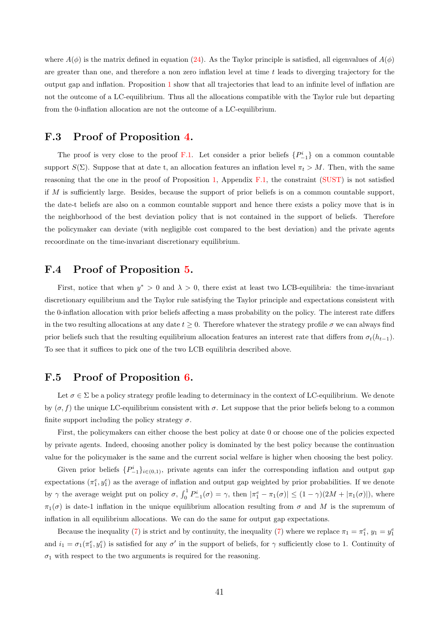where  $A(\phi)$  is the matrix defined in equation [\(24\)](#page-37-1). As the Taylor principle is satisfied, all eigenvalues of  $A(\phi)$ are greater than one, and therefore a non zero inflation level at time t leads to diverging trajectory for the output gap and inflation. Proposition [1](#page-13-0) show that all trajectories that lead to an infinite level of inflation are not the outcome of a LC-equilibrium. Thus all the allocations compatible with the Taylor rule but departing from the 0-inflation allocation are not the outcome of a LC-equilibrium.

#### <span id="page-43-0"></span>F.3 Proof of Proposition [4.](#page-18-1)

The proof is very close to the proof [F.1.](#page-42-0) Let consider a prior beliefs  $\{P_{-1}^i\}$  on a common countable support  $S(\Sigma)$ . Suppose that at date t, an allocation features an inflation level  $\pi_t > M$ . Then, with the same reasoning that the one in the proof of Proposition [1,](#page-13-0) Appendix [F.1,](#page-42-0) the constraint [\(SUST\)](#page-11-1) is not satisfied if M is sufficiently large. Besides, because the support of prior beliefs is on a common countable support. the date-t beliefs are also on a common countable support and hence there exists a policy move that is in the neighborhood of the best deviation policy that is not contained in the support of beliefs. Therefore the policymaker can deviate (with negligible cost compared to the best deviation) and the private agents recoordinate on the time-invariant discretionary equilibrium.

#### <span id="page-43-1"></span>F.4 Proof of Proposition [5.](#page-18-0)

First, notice that when  $y^* > 0$  and  $\lambda > 0$ , there exist at least two LCB-equilibria: the time-invariant discretionary equilibrium and the Taylor rule satisfying the Taylor principle and expectations consistent with the 0-inflation allocation with prior beliefs affecting a mass probability on the policy. The interest rate differs in the two resulting allocations at any date  $t \geq 0$ . Therefore whatever the strategy profile  $\sigma$  we can always find prior beliefs such that the resulting equilibrium allocation features an interest rate that differs from  $\sigma_t(h_{t-1})$ . To see that it suffices to pick one of the two LCB equilibria described above.

#### <span id="page-43-2"></span>F.5 Proof of Proposition [6.](#page-19-0)

Let  $\sigma \in \Sigma$  be a policy strategy profile leading to determinacy in the context of LC-equilibrium. We denote by  $(\sigma, f)$  the unique LC-equilibrium consistent with  $\sigma$ . Let suppose that the prior beliefs belong to a common finite support including the policy strategy  $\sigma$ .

First, the policymakers can either choose the best policy at date 0 or choose one of the policies expected by private agents. Indeed, choosing another policy is dominated by the best policy because the continuation value for the policymaker is the same and the current social welfare is higher when choosing the best policy.

Given prior beliefs  $\{P_{-1}^i\}_{i\in(0,1)}$ , private agents can infer the corresponding inflation and output gap expectations  $(\pi_1^e, y_1^e)$  as the average of inflation and output gap weighted by prior probabilities. If we denote by  $\gamma$  the average weight put on policy  $\sigma$ ,  $\int_0^1 P_{-1}^i(\sigma) = \gamma$ , then  $|\pi_1^e - \pi_1(\sigma)| \leq (1 - \gamma)(2M + |\pi_1(\sigma)|)$ , where  $\pi_1(\sigma)$  is date-1 inflation in the unique equilibrium allocation resulting from  $\sigma$  and M is the supremum of inflation in all equilibrium allocations. We can do the same for output gap expectations.

Because the inequality [\(7\)](#page-19-1) is strict and by continuity, the inequality (7) where we replace  $\pi_1 = \pi_1^e$ ,  $y_1 = y_1^e$ and  $i_1 = \sigma_1(\pi_1^e, y_1^e)$  is satisfied for any  $\sigma'$  in the support of beliefs, for  $\gamma$  sufficiently close to 1. Continuity of  $\sigma_1$  with respect to the two arguments is required for the reasoning.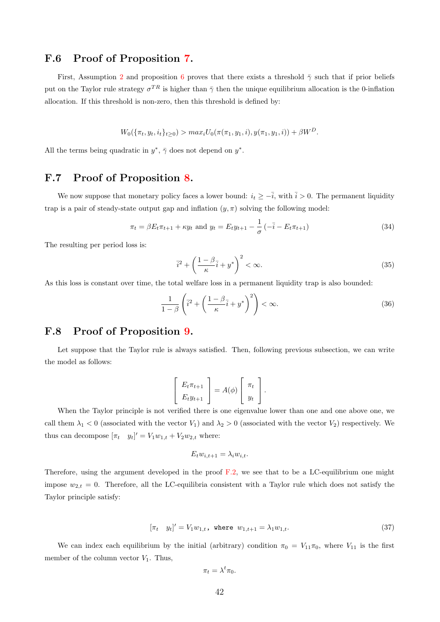### <span id="page-44-0"></span>F.6 Proof of Proposition [7.](#page-20-0)

First, Assumption [2](#page-38-4) and proposition [6](#page-19-0) proves that there exists a threshold  $\bar{\gamma}$  such that if prior beliefs put on the Taylor rule strategy  $\sigma^{TR}$  is higher than  $\bar{\gamma}$  then the unique equilibrium allocation is the 0-inflation allocation. If this threshold is non-zero, then this threshold is defined by:

$$
W_0(\{\pi_t, y_t, i_t\}_{t\geq 0}) > max_i U_0(\pi(\pi_1, y_1, i), y(\pi_1, y_1, i)) + \beta W^D.
$$

All the terms being quadratic in  $y^*, \bar{\gamma}$  does not depend on  $y^*$ .

### <span id="page-44-1"></span>F.7 Proof of Proposition [8.](#page-21-1)

We now suppose that monetary policy faces a lower bound:  $i_t \geq -\overline{i}$ , with  $\overline{i} > 0$ . The permanent liquidity trap is a pair of steady-state output gap and inflation  $(y, \pi)$  solving the following model:

$$
\pi_t = \beta E_t \pi_{t+1} + \kappa y_t \text{ and } y_t = E_t y_{t+1} - \frac{1}{\sigma} \left( -\bar{i} - E_t \pi_{t+1} \right) \tag{34}
$$

The resulting per period loss is:

$$
\overline{i}^2 + \left(\frac{1-\beta}{\kappa}\overline{i} + y^*\right)^2 < \infty. \tag{35}
$$

As this loss is constant over time, the total welfare loss in a permanent liquidity trap is also bounded:

$$
\frac{1}{1-\beta}\left(\overline{i}^2 + \left(\frac{1-\beta}{\kappa}\overline{i} + y^*\right)^2\right) < \infty. \tag{36}
$$

### <span id="page-44-2"></span>F.8 Proof of Proposition [9.](#page-23-1)

Let suppose that the Taylor rule is always satisfied. Then, following previous subsection, we can write the model as follows:

$$
\left[\begin{array}{c} E_t \pi_{t+1} \\ E_t y_{t+1} \end{array}\right] = A(\phi) \left[\begin{array}{c} \pi_t \\ y_t \end{array}\right].
$$

When the Taylor principle is not verified there is one eigenvalue lower than one and one above one, we call them  $\lambda_1 < 0$  (associated with the vector  $V_1$ ) and  $\lambda_2 > 0$  (associated with the vector  $V_2$ ) respectively. We thus can decompose  $[\pi_t \quad y_t]' = V_1 w_{1,t} + V_2 w_{2,t}$  where:

$$
E_t w_{i,t+1} = \lambda_i w_{i,t}.
$$

Therefore, using the argument developed in the proof [F.2,](#page-42-1) we see that to be a LC-equilibrium one might impose  $w_{2,t} = 0$ . Therefore, all the LC-equilibria consistent with a Taylor rule which does not satisfy the Taylor principle satisfy:

$$
[\pi_t \quad y_t]' = V_1 w_{1,t}, \text{ where } w_{1,t+1} = \lambda_1 w_{1,t}. \tag{37}
$$

We can index each equilibrium by the initial (arbitrary) condition  $\pi_0 = V_{11}\pi_0$ , where  $V_{11}$  is the first member of the column vector  $V_1$ . Thus,

$$
\pi_t = \lambda^t \pi_0.
$$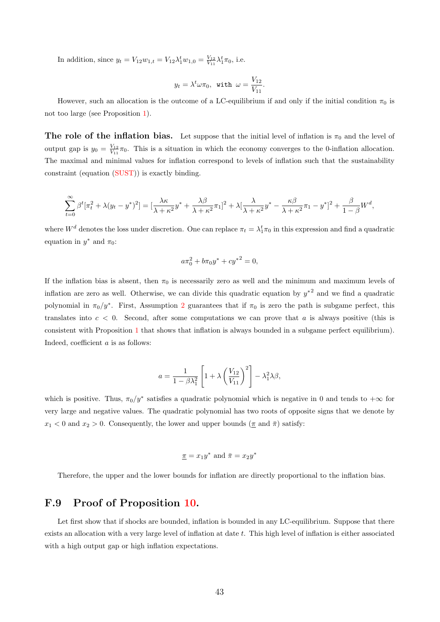In addition, since  $y_t = V_{12}w_{1,t} = V_{12}\lambda_1^t w_{1,0} = \frac{V_{12}}{V_{11}}\lambda_1^t \pi_0$ , i.e.

$$
y_t = \lambda^t \omega \pi_0
$$
, with  $\omega = \frac{V_{12}}{V_{11}}$ .

However, such an allocation is the outcome of a LC-equilibrium if and only if the initial condition  $\pi_0$  is not too large (see Proposition [1\)](#page-13-0).

The role of the inflation bias. Let suppose that the initial level of inflation is  $\pi_0$  and the level of output gap is  $y_0 = \frac{V_{12}}{V_{11}} \pi_0$ . This is a situation in which the economy converges to the 0-inflation allocation. The maximal and minimal values for inflation correspond to levels of inflation such that the sustainability constraint (equation [\(SUST\)](#page-11-1)) is exactly binding.

$$
\sum_{t=0}^{\infty} \beta^t [\pi_t^2 + \lambda (y_t - y^*)^2] = \left[\frac{\lambda \kappa}{\lambda + \kappa^2} y^* + \frac{\lambda \beta}{\lambda + \kappa^2} \pi_1\right]^2 + \lambda \left[\frac{\lambda}{\lambda + \kappa^2} y^* - \frac{\kappa \beta}{\lambda + \kappa^2} \pi_1 - y^*\right]^2 + \frac{\beta}{1 - \beta} W^d,
$$

where  $W^d$  denotes the loss under discretion. One can replace  $\pi_t = \lambda_1^t \pi_0$  in this expression and find a quadratic equation in  $y^*$  and  $\pi_0$ :

$$
a\pi_0^2 + b\pi_0 y^* + c{y^*}^2 = 0,
$$

If the inflation bias is absent, then  $\pi_0$  is necessarily zero as well and the minimum and maximum levels of inflation are zero as well. Otherwise, we can divide this quadratic equation by  $y^{*2}$  and we find a quadratic polynomial in  $\pi_0/y^*$ . First, Assumption [2](#page-38-4) guarantees that if  $\pi_0$  is zero the path is subgame perfect, this translates into  $c < 0$ . Second, after some computations we can prove that a is always positive (this is consistent with Proposition [1](#page-13-0) that shows that inflation is always bounded in a subgame perfect equilibrium). Indeed, coefficient a is as follows:

$$
a = \frac{1}{1 - \beta \lambda_1^2} \left[ 1 + \lambda \left( \frac{V_{12}}{V_{11}} \right)^2 \right] - \lambda_1^2 \lambda \beta,
$$

which is positive. Thus,  $\pi_0/y^*$  satisfies a quadratic polynomial which is negative in 0 and tends to  $+\infty$  for very large and negative values. The quadratic polynomial has two roots of opposite signs that we denote by  $x_1 < 0$  and  $x_2 > 0$ . Consequently, the lower and upper bounds  $(\pi$  and  $\bar{\pi})$  satisfy:

$$
\underline{\pi} = x_1 y^*
$$
 and  $\bar{\pi} = x_2 y^*$ 

Therefore, the upper and the lower bounds for inflation are directly proportional to the inflation bias.

### <span id="page-45-0"></span>F.9 Proof of Proposition [10.](#page-25-2)

Let first show that if shocks are bounded, inflation is bounded in any LC-equilibrium. Suppose that there exists an allocation with a very large level of inflation at date t. This high level of inflation is either associated with a high output gap or high inflation expectations.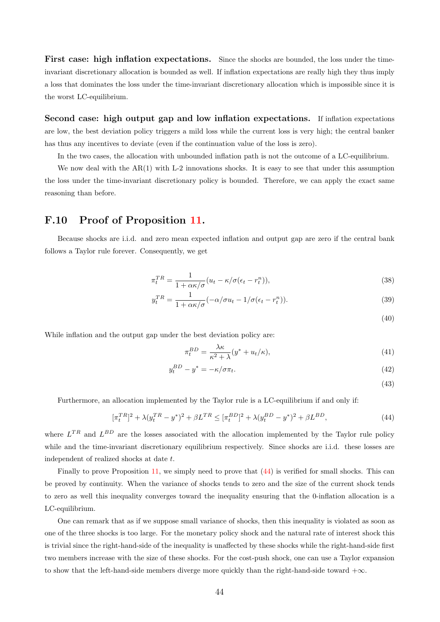First case: high inflation expectations. Since the shocks are bounded, the loss under the timeinvariant discretionary allocation is bounded as well. If inflation expectations are really high they thus imply a loss that dominates the loss under the time-invariant discretionary allocation which is impossible since it is the worst LC-equilibrium.

Second case: high output gap and low inflation expectations. If inflation expectations are low, the best deviation policy triggers a mild loss while the current loss is very high; the central banker has thus any incentives to deviate (even if the continuation value of the loss is zero).

In the two cases, the allocation with unbounded inflation path is not the outcome of a LC-equilibrium.

We now deal with the  $AR(1)$  with L-2 innovations shocks. It is easy to see that under this assumption the loss under the time-invariant discretionary policy is bounded. Therefore, we can apply the exact same reasoning than before.

### <span id="page-46-0"></span>F.10 Proof of Proposition [11.](#page-26-0)

Because shocks are i.i.d. and zero mean expected inflation and output gap are zero if the central bank follows a Taylor rule forever. Consequently, we get

$$
\pi_t^{TR} = \frac{1}{1 + \alpha \kappa / \sigma} (u_t - \kappa / \sigma(\epsilon_t - r_t^n)),\tag{38}
$$

$$
y_t^{TR} = \frac{1}{1 + \alpha \kappa/\sigma} (-\alpha/\sigma u_t - 1/\sigma (\epsilon_t - r_t^n)).
$$
\n(39)

(40)

While inflation and the output gap under the best deviation policy are:

$$
\pi_t^{BD} = \frac{\lambda \kappa}{\kappa^2 + \lambda} (y^* + u_t/\kappa),\tag{41}
$$

$$
y_t^{BD} - y^* = -\kappa/\sigma \pi_t. \tag{42}
$$

<span id="page-46-1"></span>(43)

Furthermore, an allocation implemented by the Taylor rule is a LC-equilibrium if and only if:

$$
[\pi_t^{TR}]^2 + \lambda (y_t^{TR} - y^*)^2 + \beta L^{TR} \leq [\pi_t^{BD}]^2 + \lambda (y_t^{BD} - y^*)^2 + \beta L^{BD},\tag{44}
$$

where  $L^{TR}$  and  $L^{BD}$  are the losses associated with the allocation implemented by the Taylor rule policy while and the time-invariant discretionary equilibrium respectively. Since shocks are i.i.d. these losses are independent of realized shocks at date t.

Finally to prove Proposition [11,](#page-26-0) we simply need to prove that [\(44\)](#page-46-1) is verified for small shocks. This can be proved by continuity. When the variance of shocks tends to zero and the size of the current shock tends to zero as well this inequality converges toward the inequality ensuring that the 0-inflation allocation is a LC-equilibrium.

One can remark that as if we suppose small variance of shocks, then this inequality is violated as soon as one of the three shocks is too large. For the monetary policy shock and the natural rate of interest shock this is trivial since the right-hand-side of the inequality is unaffected by these shocks while the right-hand-side first two members increase with the size of these shocks. For the cost-push shock, one can use a Taylor expansion to show that the left-hand-side members diverge more quickly than the right-hand-side toward  $+\infty$ .